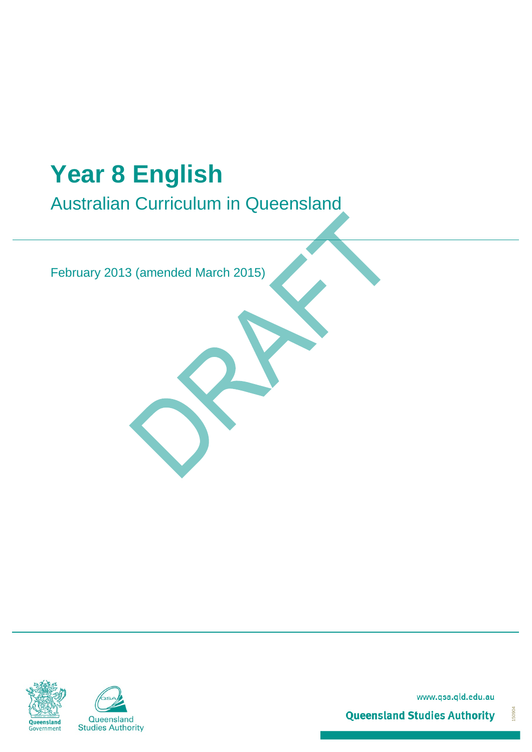# **Year 8 English**

Australian Curriculum in Queensland

February 2013 (amended March 2015)





www.qsa.qld.edu.au

150904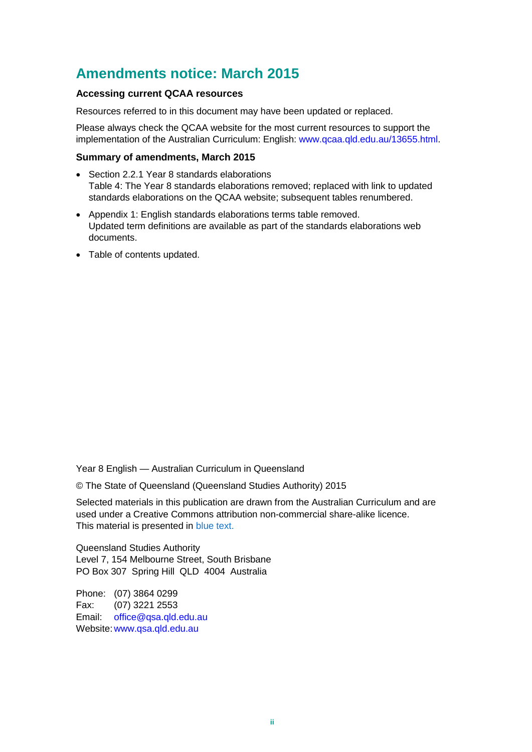## <span id="page-1-0"></span>**Amendments notice: March 2015**

#### **Accessing current QCAA resources**

Resources referred to in this document may have been updated or replaced.

Please always check the QCAA website for the most current resources to support the implementation of the Australian Curriculum: English: [www.qcaa.qld.edu.au/13655.html.](https://www.qcaa.qld.edu.au/13655.html)

#### **Summary of amendments, March 2015**

- Section 2.2.1 Year 8 standards elaborations Table 4: The Year 8 standards elaborations removed; replaced with link to updated standards elaborations on the QCAA website; subsequent tables renumbered.
- Appendix 1: English standards elaborations terms table removed. Updated term definitions are available as part of the standards elaborations web documents.
- Table of contents updated.

Year 8 English — Australian Curriculum in Queensland

© The State of Queensland (Queensland Studies Authority) 2015

Selected materials in this publication are drawn from the Australian Curriculum and are used under a Creative Commons attribution non-commercial share-alike licence. This material is presented in blue text.

Queensland Studies Authority Level 7, 154 Melbourne Street, South Brisbane PO Box 307 Spring Hill QLD 4004 Australia

Phone: (07) 3864 0299 Fax: (07) 3221 2553 Email: [office@qsa.qld.edu.au](mailto:office@qsa.qld.edu.au) Website: [www.qsa.qld.edu.au](http://www.qsa.qld.edu.au/)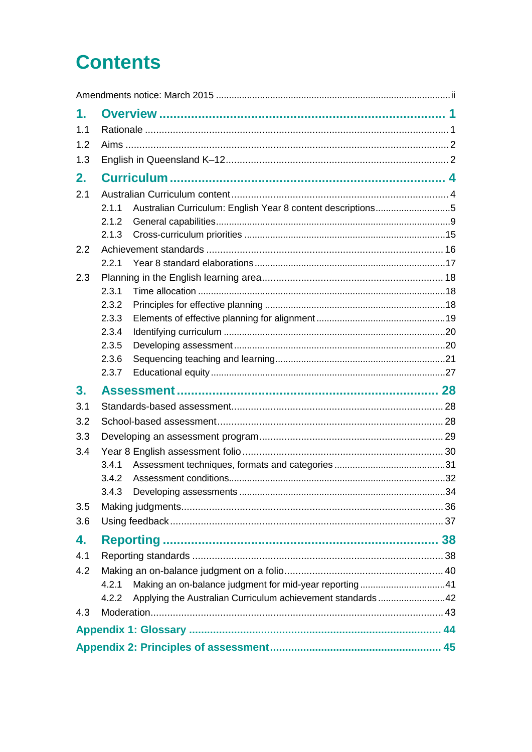# **Contents**

| 1.  |                                                                      |  |  |  |
|-----|----------------------------------------------------------------------|--|--|--|
| 1.1 |                                                                      |  |  |  |
| 1.2 |                                                                      |  |  |  |
| 1.3 |                                                                      |  |  |  |
| 2.  |                                                                      |  |  |  |
| 2.1 |                                                                      |  |  |  |
|     | Australian Curriculum: English Year 8 content descriptions5<br>2.1.1 |  |  |  |
|     | 2.1.2                                                                |  |  |  |
|     | 2.1.3                                                                |  |  |  |
| 2.2 |                                                                      |  |  |  |
|     | 2.2.1                                                                |  |  |  |
| 2.3 |                                                                      |  |  |  |
|     | 2.3.1                                                                |  |  |  |
|     | 2.3.2                                                                |  |  |  |
|     | 2.3.3                                                                |  |  |  |
|     | 2.3.4                                                                |  |  |  |
|     | 2.3.5                                                                |  |  |  |
|     | 2.3.6                                                                |  |  |  |
|     | 2.3.7                                                                |  |  |  |
| 3.  |                                                                      |  |  |  |
| 3.1 |                                                                      |  |  |  |
| 3.2 |                                                                      |  |  |  |
| 3.3 |                                                                      |  |  |  |
| 3.4 |                                                                      |  |  |  |
|     | 3.4.1                                                                |  |  |  |
|     | 3.4.2                                                                |  |  |  |
|     |                                                                      |  |  |  |
| 3.5 |                                                                      |  |  |  |
| 3.6 |                                                                      |  |  |  |
| 4.  |                                                                      |  |  |  |
| 4.1 |                                                                      |  |  |  |
| 4.2 |                                                                      |  |  |  |
|     | Making an on-balance judgment for mid-year reporting41<br>4.2.1      |  |  |  |
|     | Applying the Australian Curriculum achievement standards42<br>4.2.2  |  |  |  |
| 4.3 |                                                                      |  |  |  |
|     |                                                                      |  |  |  |
|     |                                                                      |  |  |  |
|     |                                                                      |  |  |  |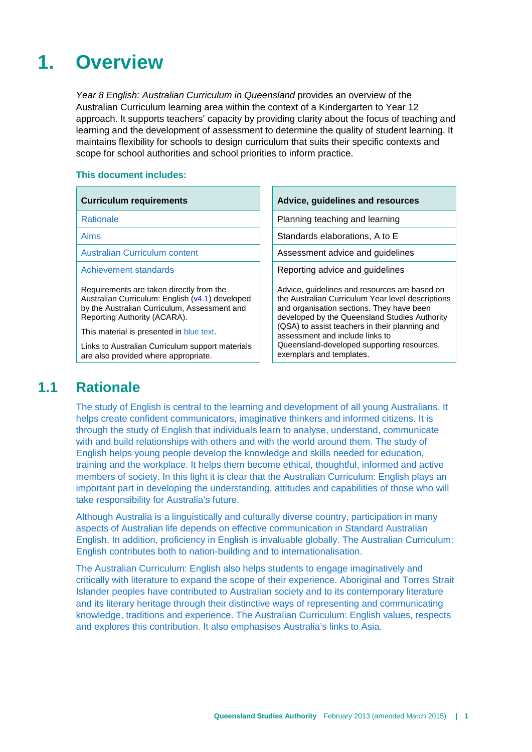## <span id="page-4-0"></span>**1. Overview**

*Year 8 English: Australian Curriculum in Queensland* provides an overview of the Australian Curriculum learning area within the context of a Kindergarten to Year 12 approach. It supports teachers' capacity by providing clarity about the focus of teaching and learning and the development of assessment to determine the quality of student learning. It maintains flexibility for schools to design curriculum that suits their specific contexts and scope for school authorities and school priorities to inform practice.

#### **This document includes:**

| <b>Curriculum requirements</b>                                                                                                                                                                                          | Advice, guidelines and resources                                                                                                                                                                                                                                                      |
|-------------------------------------------------------------------------------------------------------------------------------------------------------------------------------------------------------------------------|---------------------------------------------------------------------------------------------------------------------------------------------------------------------------------------------------------------------------------------------------------------------------------------|
| <b>Rationale</b>                                                                                                                                                                                                        | Planning teaching and learning                                                                                                                                                                                                                                                        |
| <b>Aims</b>                                                                                                                                                                                                             | Standards elaborations, A to E                                                                                                                                                                                                                                                        |
| <b>Australian Curriculum content</b>                                                                                                                                                                                    | Assessment advice and guidelines                                                                                                                                                                                                                                                      |
| Achievement standards                                                                                                                                                                                                   | Reporting advice and guidelines                                                                                                                                                                                                                                                       |
| Requirements are taken directly from the<br>Australian Curriculum: English (v4.1) developed<br>by the Australian Curriculum, Assessment and<br>Reporting Authority (ACARA).<br>This material is presented in blue text. | Advice, guidelines and resources are based on<br>the Australian Curriculum Year level descriptions<br>and organisation sections. They have been<br>developed by the Queensland Studies Authority<br>(QSA) to assist teachers in their planning and<br>assessment and include links to |
| Links to Australian Curriculum support materials<br>are also provided where appropriate.                                                                                                                                | Queensland-developed supporting resources,<br>exemplars and templates.                                                                                                                                                                                                                |

## **1.1 Rationale**

<span id="page-4-1"></span>The study of English is central to the learning and development of all young Australians. It helps create confident communicators, imaginative thinkers and informed citizens. It is through the study of English that individuals learn to analyse, understand, communicate with and build relationships with others and with the world around them. The study of English helps young people develop the knowledge and skills needed for education, training and the workplace. It helps them become ethical, thoughtful, informed and active members of society. In this light it is clear that the Australian Curriculum: English plays an important part in developing the understanding, attitudes and capabilities of those who will take responsibility for Australia's future.

Although Australia is a linguistically and culturally diverse country, participation in many aspects of Australian life depends on effective communication in Standard Australian English. In addition, proficiency in English is invaluable globally. The Australian Curriculum: English contributes both to nation-building and to internationalisation.

The Australian Curriculum: English also helps students to engage imaginatively and critically with literature to expand the scope of their experience. Aboriginal and Torres Strait Islander peoples have contributed to Australian society and to its contemporary literature and its literary heritage through their distinctive ways of representing and communicating knowledge, traditions and experience. The Australian Curriculum: English values, respects and explores this contribution. It also emphasises Australia's links to Asia.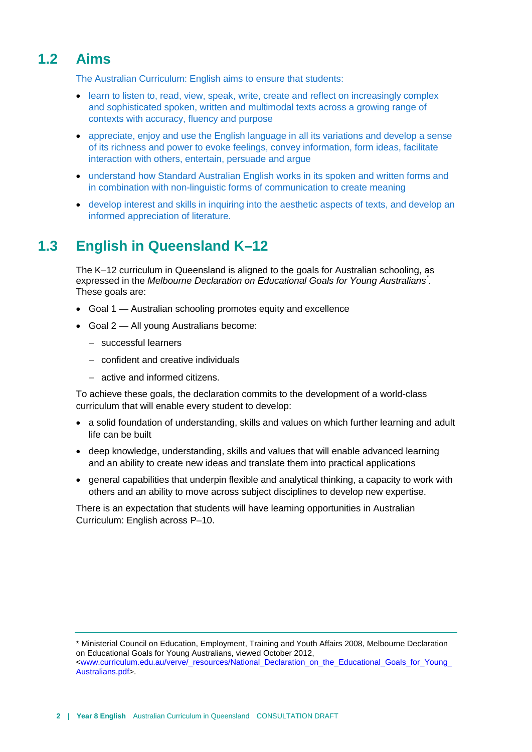## **1.2 Aims**

<span id="page-5-0"></span>The Australian Curriculum: English aims to ensure that students:

- learn to listen to, read, view, speak, write, create and reflect on increasingly complex and sophisticated spoken, written and multimodal texts across a growing range of contexts with accuracy, fluency and purpose
- appreciate, enjoy and use the English language in all its variations and develop a sense of its richness and power to evoke feelings, convey information, form ideas, facilitate interaction with others, entertain, persuade and argue
- understand how Standard Australian English works in its spoken and written forms and in combination with non-linguistic forms of communication to create meaning
- <span id="page-5-1"></span>• develop interest and skills in inquiring into the aesthetic aspects of texts, and develop an informed appreciation of literature.

## **1.3 English in Queensland K–12**

The K–12 curriculum in Queensland is aligned to the goals for Australian schooling, as expressed in the *Melbourne Declaration on Educational Goals for Young Australians[\\*](#page-5-2) .* These goals are:

- Goal 1 Australian schooling promotes equity and excellence
- Goal 2 All young Australians become:
	- − successful learners
	- − confident and creative individuals
	- − active and informed citizens.

To achieve these goals, the declaration commits to the development of a world-class curriculum that will enable every student to develop:

- a solid foundation of understanding, skills and values on which further learning and adult life can be built
- deep knowledge, understanding, skills and values that will enable advanced learning and an ability to create new ideas and translate them into practical applications
- general capabilities that underpin flexible and analytical thinking, a capacity to work with others and an ability to move across subject disciplines to develop new expertise.

There is an expectation that students will have learning opportunities in Australian Curriculum: English across P–10.

<span id="page-5-2"></span><sup>\*</sup> Ministerial Council on Education, Employment, Training and Youth Affairs 2008, Melbourne Declaration on Educational Goals for Young Australians, viewed October 2012, [<www.curriculum.edu.au/verve/\\_resources/National\\_Declaration\\_on\\_the\\_Educational\\_Goals\\_for\\_Young\\_](http://www.curriculum.edu.au/verve/_resources/National_Declaration_on_the_Educational_Goals_for_Young_Australians.pdf) [Australians.pdf>](http://www.curriculum.edu.au/verve/_resources/National_Declaration_on_the_Educational_Goals_for_Young_Australians.pdf).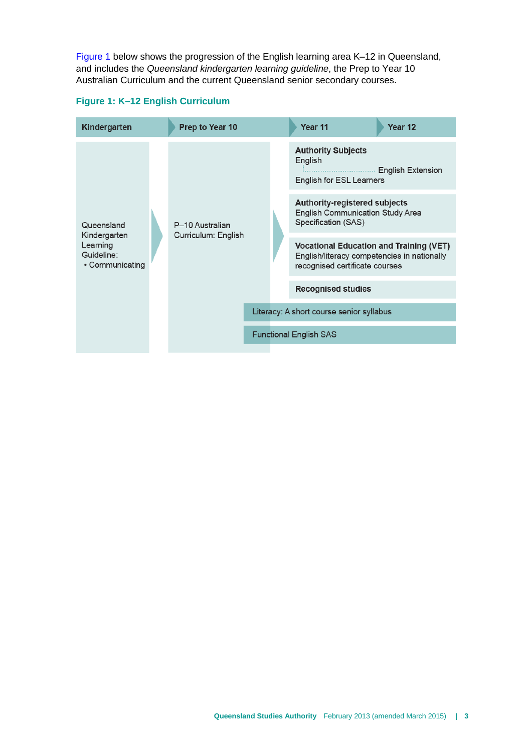[Figure 1](#page-6-0) below shows the progression of the English learning area K–12 in Queensland, and includes the *Queensland kindergarten learning guideline*, the Prep to Year 10 Australian Curriculum and the current Queensland senior secondary courses.



#### <span id="page-6-0"></span>**Figure 1: K–12 English Curriculum**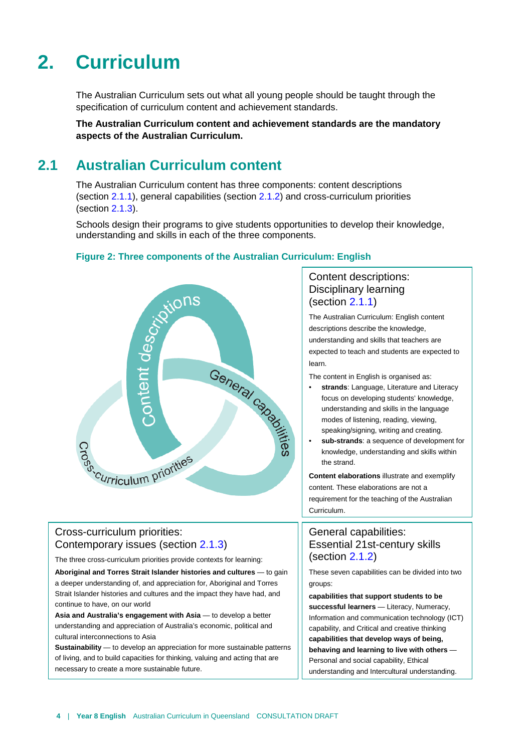# <span id="page-7-0"></span>**2. Curriculum**

The Australian Curriculum sets out what all young people should be taught through the specification of curriculum content and achievement standards.

<span id="page-7-1"></span>**The Australian Curriculum content and achievement standards are the mandatory aspects of the Australian Curriculum.** 

## **2.1 Australian Curriculum content**

The Australian Curriculum content has three components: content descriptions (section [2.1.1\)](#page-8-0), general capabilities (section [2.1.2\)](#page-12-0) and cross-curriculum priorities (section [2.1.3\)](#page-18-0).

Schools design their programs to give students opportunities to develop their knowledge, understanding and skills in each of the three components.



#### **Figure 2: Three components of the Australian Curriculum: English**

#### Cross-curriculum priorities: Contemporary issues (section [2.1.3\)](#page-18-0)

The three cross-curriculum priorities provide contexts for learning:

**Aboriginal and Torres Strait Islander histories and cultures** — to gain a deeper understanding of, and appreciation for, Aboriginal and Torres Strait Islander histories and cultures and the impact they have had, and continue to have, on our world

**Asia and Australia's engagement with Asia** — to develop a better understanding and appreciation of Australia's economic, political and cultural interconnections to Asia

**Sustainability** — to develop an appreciation for more sustainable patterns of living, and to build capacities for thinking, valuing and acting that are necessary to create a more sustainable future.

#### Content descriptions: Disciplinary learning (section [2.1.1\)](#page-8-0)

The Australian Curriculum: English content descriptions describe the knowledge, understanding and skills that teachers are expected to teach and students are expected to learn.

The content in English is organised as:

- **strands**: Language, Literature and Literacy focus on developing students' knowledge, understanding and skills in the language modes of listening, reading, viewing, speaking/signing, writing and creating.
- **sub-strands**: a sequence of development for knowledge, understanding and skills within the strand.

**Content elaborations** illustrate and exemplify content. These elaborations are not a requirement for the teaching of the Australian Curriculum.

#### General capabilities: Essential 21st-century skills (section [2.1.2\)](#page-12-0)

These seven capabilities can be divided into two groups:

**capabilities that support students to be successful learners** — Literacy, Numeracy, Information and communication technology (ICT) capability, and Critical and creative thinking **capabilities that develop ways of being, behaving and learning to live with others** — Personal and social capability, Ethical understanding and Intercultural understanding.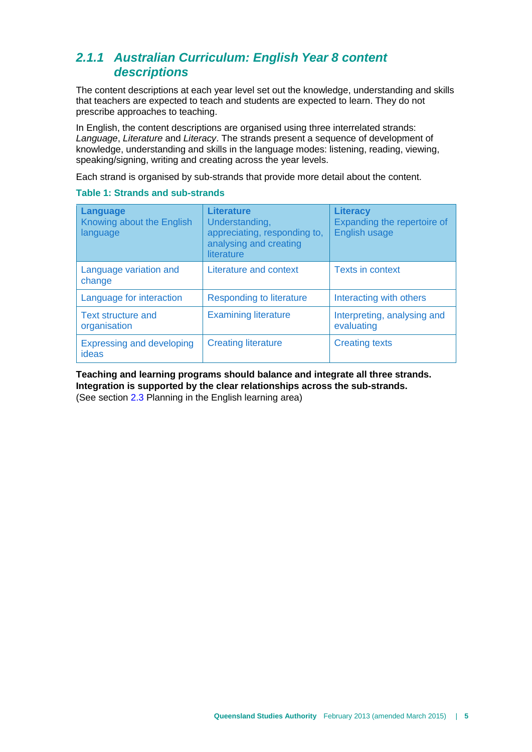## <span id="page-8-0"></span>*2.1.1 Australian Curriculum: English Year 8 content descriptions*

The content descriptions at each year level set out the knowledge, understanding and skills that teachers are expected to teach and students are expected to learn. They do not prescribe approaches to teaching.

In English, the content descriptions are organised using three interrelated strands: *Language*, *Literature* and *Literacy*. The strands present a sequence of development of knowledge, understanding and skills in the language modes: listening, reading, viewing, speaking/signing, writing and [creating](http://www.australiancurriculum.edu.au/Glossary?a=E&t=creating) across the year levels.

Each strand is organised by sub-strands that provide more detail about the content.

#### **Table 1: Strands and sub-strands**

| Language<br>Knowing about the English<br>language | <b>Literature</b><br>Understanding,<br>appreciating, responding to,<br>analysing and creating<br>literature | <b>Literacy</b><br>Expanding the repertoire of<br><b>English usage</b> |
|---------------------------------------------------|-------------------------------------------------------------------------------------------------------------|------------------------------------------------------------------------|
| Language variation and<br>change                  | Literature and context                                                                                      | <b>Texts in context</b>                                                |
| Language for interaction                          | Responding to literature                                                                                    | Interacting with others                                                |
| <b>Text structure and</b><br>organisation         | <b>Examining literature</b>                                                                                 | Interpreting, analysing and<br>evaluating                              |
| <b>Expressing and developing</b><br>ideas         | <b>Creating literature</b>                                                                                  | <b>Creating texts</b>                                                  |

#### **Teaching and learning programs should balance and integrate all three strands. Integration is supported by the clear relationships across the sub-strands.**

(See section [2.3](#page-21-0) Planning in the English learning area)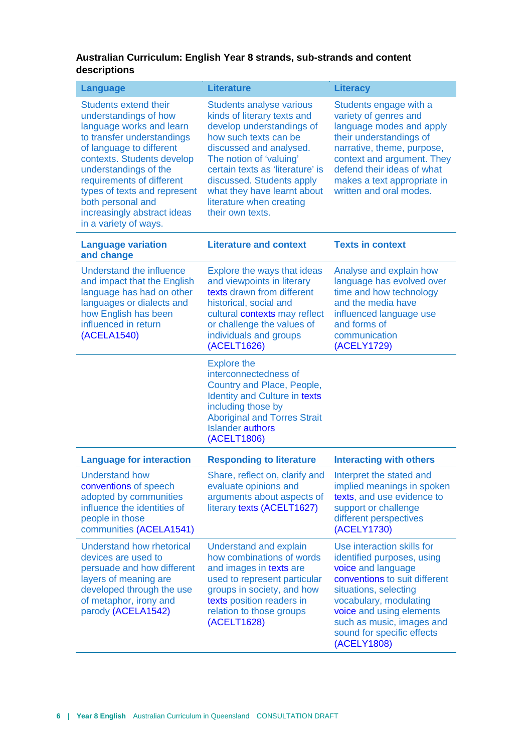#### **Australian Curriculum: English Year 8 strands, sub-strands and content descriptions**

| <b>Language</b>                                                                                                                                                                                                                                                                                                                              | <b>Literature</b>                                                                                                                                                                                                                                                                                                          | <b>Literacy</b>                                                                                                                                                                                                                                                          |
|----------------------------------------------------------------------------------------------------------------------------------------------------------------------------------------------------------------------------------------------------------------------------------------------------------------------------------------------|----------------------------------------------------------------------------------------------------------------------------------------------------------------------------------------------------------------------------------------------------------------------------------------------------------------------------|--------------------------------------------------------------------------------------------------------------------------------------------------------------------------------------------------------------------------------------------------------------------------|
| <b>Students extend their</b><br>understandings of how<br>language works and learn<br>to transfer understandings<br>of language to different<br>contexts. Students develop<br>understandings of the<br>requirements of different<br>types of texts and represent<br>both personal and<br>increasingly abstract ideas<br>in a variety of ways. | <b>Students analyse various</b><br>kinds of literary texts and<br>develop understandings of<br>how such texts can be<br>discussed and analysed.<br>The notion of 'valuing'<br>certain texts as 'literature' is<br>discussed. Students apply<br>what they have learnt about<br>literature when creating<br>their own texts. | Students engage with a<br>variety of genres and<br>language modes and apply<br>their understandings of<br>narrative, theme, purpose,<br>context and argument. They<br>defend their ideas of what<br>makes a text appropriate in<br>written and oral modes.               |
| <b>Language variation</b><br>and change                                                                                                                                                                                                                                                                                                      | <b>Literature and context</b>                                                                                                                                                                                                                                                                                              | <b>Texts in context</b>                                                                                                                                                                                                                                                  |
| Understand the influence<br>and impact that the English<br>language has had on other<br>languages or dialects and<br>how English has been<br>influenced in return<br>(ACELA1540)                                                                                                                                                             | Explore the ways that ideas<br>and viewpoints in literary<br>texts drawn from different<br>historical, social and<br>cultural contexts may reflect<br>or challenge the values of<br>individuals and groups<br>(ACELT1626)                                                                                                  | Analyse and explain how<br>language has evolved over<br>time and how technology<br>and the media have<br>influenced language use<br>and forms of<br>communication<br>(ACELY1729)                                                                                         |
|                                                                                                                                                                                                                                                                                                                                              | <b>Explore the</b><br>interconnectedness of<br>Country and Place, People,<br><b>Identity and Culture in texts</b><br>including those by<br><b>Aboriginal and Torres Strait</b><br><b>Islander authors</b><br>(ACELT1806)                                                                                                   |                                                                                                                                                                                                                                                                          |
| <b>Language for interaction</b>                                                                                                                                                                                                                                                                                                              | <b>Responding to literature</b>                                                                                                                                                                                                                                                                                            | <b>Interacting with others</b>                                                                                                                                                                                                                                           |
| <b>Understand how</b><br>conventions of speech<br>adopted by communities<br>influence the identities of<br>people in those<br>communities (ACELA1541)                                                                                                                                                                                        | Share, reflect on, clarify and<br>evaluate opinions and<br>arguments about aspects of<br>literary texts (ACELT1627)                                                                                                                                                                                                        | Interpret the stated and<br>implied meanings in spoken<br>texts, and use evidence to<br>support or challenge<br>different perspectives<br>(ACELY1730)                                                                                                                    |
| <b>Understand how rhetorical</b><br>devices are used to<br>persuade and how different<br>layers of meaning are<br>developed through the use<br>of metaphor, irony and<br>parody (ACELA1542)                                                                                                                                                  | <b>Understand and explain</b><br>how combinations of words<br>and images in texts are<br>used to represent particular<br>groups in society, and how<br>texts position readers in<br>relation to those groups<br>(ACELT1628)                                                                                                | Use interaction skills for<br>identified purposes, using<br>voice and language<br>conventions to suit different<br>situations, selecting<br>vocabulary, modulating<br>voice and using elements<br>such as music, images and<br>sound for specific effects<br>(ACELY1808) |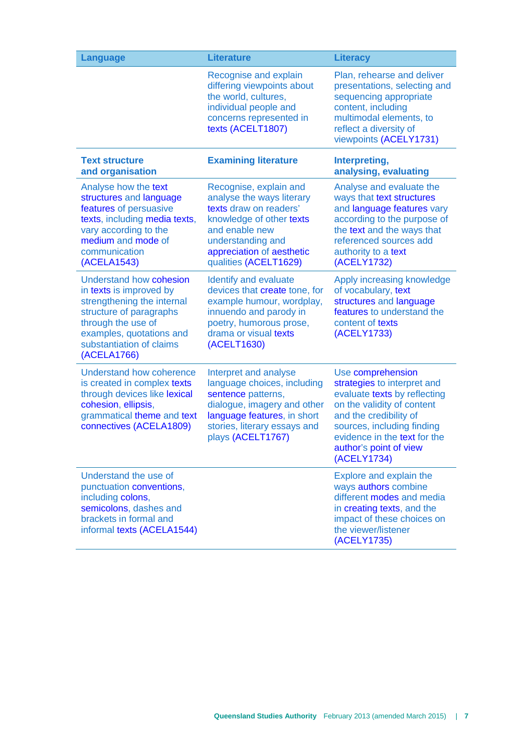| <b>Language</b>                                                                                                                                                                                                 | <b>Literature</b>                                                                                                                                                                                      | <b>Literacy</b>                                                                                                                                                                                                                                 |
|-----------------------------------------------------------------------------------------------------------------------------------------------------------------------------------------------------------------|--------------------------------------------------------------------------------------------------------------------------------------------------------------------------------------------------------|-------------------------------------------------------------------------------------------------------------------------------------------------------------------------------------------------------------------------------------------------|
|                                                                                                                                                                                                                 | Recognise and explain<br>differing viewpoints about<br>the world, cultures,<br>individual people and<br>concerns represented in<br>texts (ACELT1807)                                                   | Plan, rehearse and deliver<br>presentations, selecting and<br>sequencing appropriate<br>content, including<br>multimodal elements, to<br>reflect a diversity of<br>viewpoints (ACELY1731)                                                       |
| <b>Text structure</b><br>and organisation                                                                                                                                                                       | <b>Examining literature</b>                                                                                                                                                                            | Interpreting,<br>analysing, evaluating                                                                                                                                                                                                          |
| Analyse how the text<br>structures and language<br>features of persuasive<br>texts, including media texts,<br>vary according to the<br>medium and mode of<br>communication<br>(ACELA1543)                       | Recognise, explain and<br>analyse the ways literary<br>texts draw on readers'<br>knowledge of other texts<br>and enable new<br>understanding and<br>appreciation of aesthetic<br>qualities (ACELT1629) | Analyse and evaluate the<br>ways that text structures<br>and language features vary<br>according to the purpose of<br>the text and the ways that<br>referenced sources add<br>authority to a text<br>(ACELY1732)                                |
| <b>Understand how cohesion</b><br>in texts is improved by<br>strengthening the internal<br>structure of paragraphs<br>through the use of<br>examples, quotations and<br>substantiation of claims<br>(ACELA1766) | Identify and evaluate<br>devices that create tone, for<br>example humour, wordplay,<br>innuendo and parody in<br>poetry, humorous prose,<br>drama or visual texts<br>(ACELT1630)                       | Apply increasing knowledge<br>of vocabulary, text<br>structures and language<br>features to understand the<br>content of texts<br>(ACELY1733)                                                                                                   |
| Understand how coherence<br>is created in complex texts<br>through devices like lexical<br>cohesion, ellipsis,<br>grammatical theme and text<br>connectives (ACELA1809)                                         | Interpret and analyse<br>language choices, including<br>sentence patterns,<br>dialogue, imagery and other<br>language features, in short<br>stories, literary essays and<br>plays (ACELT1767)          | Use comprehension<br>strategies to interpret and<br>evaluate texts by reflecting<br>on the validity of content<br>and the credibility of<br>sources, including finding<br>evidence in the text for the<br>author's point of view<br>(ACELY1734) |
| Understand the use of<br>punctuation conventions,<br>including colons,<br>semicolons, dashes and<br>brackets in formal and<br>informal texts (ACELA1544)                                                        |                                                                                                                                                                                                        | Explore and explain the<br>ways authors combine<br>different modes and media<br>in creating texts, and the<br>impact of these choices on<br>the viewer/listener<br>(ACELY1735)                                                                  |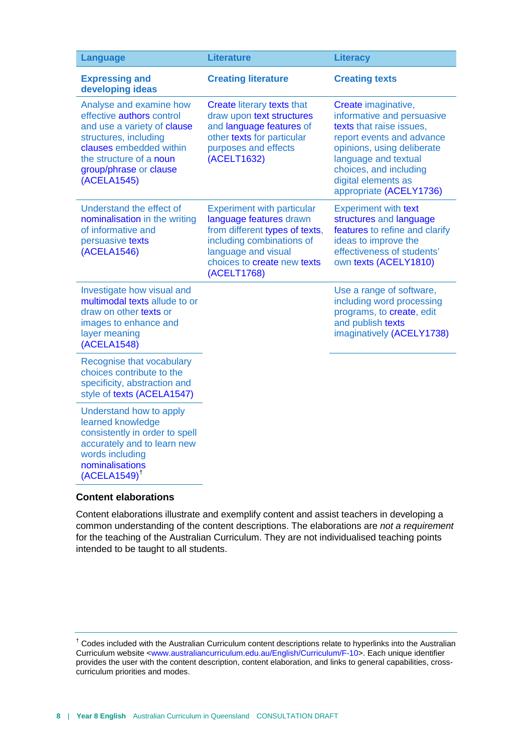| <b>Language</b>                                                                                                                                                                                             | <b>Literature</b>                                                                                                                                                                                | <b>Literacy</b>                                                                                                                                                                                                                              |
|-------------------------------------------------------------------------------------------------------------------------------------------------------------------------------------------------------------|--------------------------------------------------------------------------------------------------------------------------------------------------------------------------------------------------|----------------------------------------------------------------------------------------------------------------------------------------------------------------------------------------------------------------------------------------------|
| <b>Expressing and</b><br>developing ideas                                                                                                                                                                   | <b>Creating literature</b>                                                                                                                                                                       | <b>Creating texts</b>                                                                                                                                                                                                                        |
| Analyse and examine how<br>effective authors control<br>and use a variety of clause<br>structures, including<br>clauses embedded within<br>the structure of a noun<br>group/phrase or clause<br>(ACELA1545) | Create literary texts that<br>draw upon text structures<br>and language features of<br>other texts for particular<br>purposes and effects<br>(ACELT1632)                                         | Create imaginative,<br>informative and persuasive<br>texts that raise issues,<br>report events and advance<br>opinions, using deliberate<br>language and textual<br>choices, and including<br>digital elements as<br>appropriate (ACELY1736) |
| Understand the effect of<br>nominalisation in the writing<br>of informative and<br>persuasive texts<br>(ACELA1546)                                                                                          | <b>Experiment with particular</b><br>language features drawn<br>from different types of texts,<br>including combinations of<br>language and visual<br>choices to create new texts<br>(ACELT1768) | <b>Experiment with text</b><br>structures and language<br>features to refine and clarify<br>ideas to improve the<br>effectiveness of students'<br>own texts (ACELY1810)                                                                      |
| Investigate how visual and<br>multimodal texts allude to or<br>draw on other texts or<br>images to enhance and<br>layer meaning<br>(ACELA1548)                                                              |                                                                                                                                                                                                  | Use a range of software,<br>including word processing<br>programs, to create, edit<br>and publish texts<br>imaginatively (ACELY1738)                                                                                                         |
| Recognise that vocabulary<br>choices contribute to the<br>specificity, abstraction and<br>style of texts (ACELA1547)                                                                                        |                                                                                                                                                                                                  |                                                                                                                                                                                                                                              |
| Understand how to apply<br>learned knowledge<br>consistently in order to spell<br>accurately and to learn new<br>words including<br>nominalisations<br>$(ACELA1549)$ <sup>†</sup>                           |                                                                                                                                                                                                  |                                                                                                                                                                                                                                              |

#### **Content elaborations**

Content elaborations illustrate and exemplify content and assist teachers in developing a common understanding of the content descriptions. The elaborations are *not a requirement* for the teaching of the Australian Curriculum. They are not individualised teaching points intended to be taught to all students.

<span id="page-11-0"></span><sup>†</sup> Codes included with the Australian Curriculum content descriptions relate to hyperlinks into the Australian Curriculum website [<www.australiancurriculum.edu.au/English/Curriculum/F-10>](http://www.australiancurriculum.edu.au/English/Curriculum/F-10). Each unique identifier provides the user with the content description, content elaboration, and links to general capabilities, crosscurriculum priorities and modes.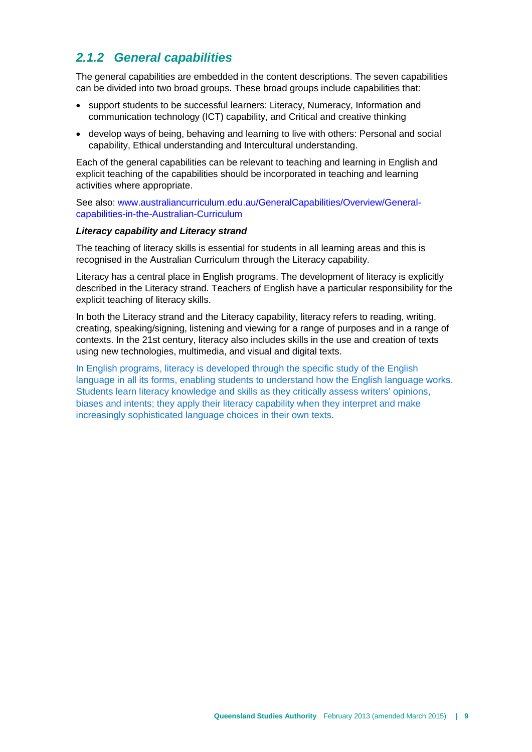## <span id="page-12-0"></span>*2.1.2 General capabilities*

The general capabilities are embedded in the content descriptions. The seven capabilities can be divided into two broad groups. These broad groups include capabilities that:

- support students to be successful learners: Literacy, Numeracy, Information and communication technology (ICT) capability, and Critical and creative thinking
- develop ways of being, behaving and learning to live with others: Personal and social capability, Ethical understanding and Intercultural understanding.

Each of the general capabilities can be relevant to teaching and learning in English and explicit teaching of the capabilities should be incorporated in teaching and learning activities where appropriate.

See also[: www.australiancurriculum.edu.au/GeneralCapabilities/Overview/General](http://www.australiancurriculum.edu.au/GeneralCapabilities/Overview/General-capabilities-in-the-Australian-Curriculum)[capabilities-in-the-Australian-Curriculum](http://www.australiancurriculum.edu.au/GeneralCapabilities/Overview/General-capabilities-in-the-Australian-Curriculum)

#### *Literacy capability and Literacy strand*

The teaching of literacy skills is essential for students in all learning areas and this is recognised in the Australian Curriculum through the Literacy capability.

Literacy has a central place in English programs. The development of literacy is explicitly described in the Literacy strand. Teachers of English have a particular responsibility for the explicit teaching of literacy skills.

In both the Literacy strand and the Literacy capability, literacy refers to reading, writing, creating, speaking/signing, listening and viewing for a range of purposes and in a range of contexts. In the 21st century, literacy also includes skills in the use and creation of texts using new technologies, multimedia, and visual and digital texts.

In English programs, literacy is developed through the specific study of the English language in all its forms, enabling students to understand how the English language works. Students learn literacy knowledge and skills as they critically assess writers' opinions, biases and intents; they apply their literacy capability when they interpret and make increasingly sophisticated language choices in their own texts.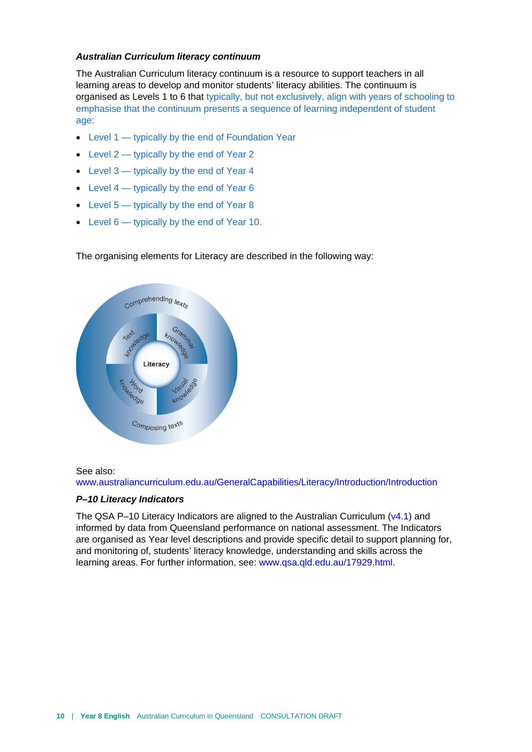#### *Australian Curriculum literacy continuum*

The Australian Curriculum literacy continuum is a resource to support teachers in all learning areas to develop and monitor students' literacy abilities. The continuum is organised as Levels 1 to 6 that typically, but not exclusively, align with years of schooling to emphasise that the continuum presents a sequence of learning independent of student age:

- Level 1 typically by the end of Foundation Year
- Level 2 typically by the end of Year 2
- Level  $3$  typically by the end of Year 4
- Level 4 typically by the end of Year 6
- Level  $5 -$  typically by the end of Year 8
- Level 6 typically by the end of Year 10.



The organising elements for Literacy are described in the following way:

#### See also:

[www.australiancurriculum.edu.au/GeneralCapabilities/Literacy/Introduction/Introduction](http://www.australiancurriculum.edu.au/GeneralCapabilities/Literacy/Introduction/Introduction)

#### *P–10 Literacy Indicators*

The QSA P–10 Literacy Indicators are aligned to the Australian Curriculum  $(v4.1)$  and informed by data from Queensland performance on national assessment. The Indicators are organised as Year level descriptions and provide specific detail to support planning for, and monitoring of, students' literacy knowledge, understanding and skills across the learning areas. For further information, see: [www.qsa.qld.edu.au/17929.html.](http://www.qsa.qld.edu.au/17929.html)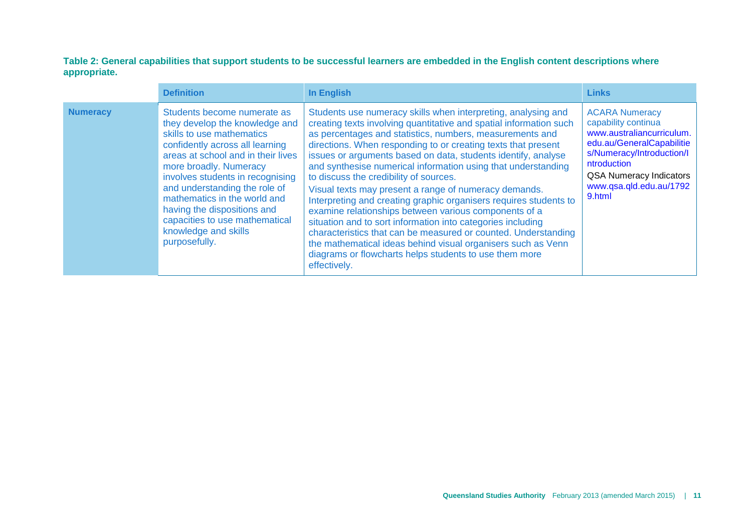**Table 2: General capabilities that support students to be successful learners are embedded in the English content descriptions where appropriate.**

|                 | <b>Definition</b>                                                                                                                                                                                                                                                                                                                                                                                            | In English                                                                                                                                                                                                                                                                                                                                                                                                                                                                                                                                                                                                                                                                                                                                                                                                                                                                                                     | <b>Links</b>                                                                                                                                                                                                              |
|-----------------|--------------------------------------------------------------------------------------------------------------------------------------------------------------------------------------------------------------------------------------------------------------------------------------------------------------------------------------------------------------------------------------------------------------|----------------------------------------------------------------------------------------------------------------------------------------------------------------------------------------------------------------------------------------------------------------------------------------------------------------------------------------------------------------------------------------------------------------------------------------------------------------------------------------------------------------------------------------------------------------------------------------------------------------------------------------------------------------------------------------------------------------------------------------------------------------------------------------------------------------------------------------------------------------------------------------------------------------|---------------------------------------------------------------------------------------------------------------------------------------------------------------------------------------------------------------------------|
| <b>Numeracy</b> | Students become numerate as<br>they develop the knowledge and<br>skills to use mathematics<br>confidently across all learning<br>areas at school and in their lives<br>more broadly. Numeracy<br>involves students in recognising<br>and understanding the role of<br>mathematics in the world and<br>having the dispositions and<br>capacities to use mathematical<br>knowledge and skills<br>purposefully. | Students use numeracy skills when interpreting, analysing and<br>creating texts involving quantitative and spatial information such<br>as percentages and statistics, numbers, measurements and<br>directions. When responding to or creating texts that present<br>issues or arguments based on data, students identify, analyse<br>and synthesise numerical information using that understanding<br>to discuss the credibility of sources.<br>Visual texts may present a range of numeracy demands.<br>Interpreting and creating graphic organisers requires students to<br>examine relationships between various components of a<br>situation and to sort information into categories including<br>characteristics that can be measured or counted. Understanding<br>the mathematical ideas behind visual organisers such as Venn<br>diagrams or flowcharts helps students to use them more<br>effectively. | <b>ACARA Numeracy</b><br>capability continua<br>www.australiancurriculum.<br>edu.au/GeneralCapabilitie<br>s/Numeracy/Introduction/I<br>ntroduction<br><b>QSA Numeracy Indicators</b><br>www.qsa.qld.edu.au/1792<br>9.html |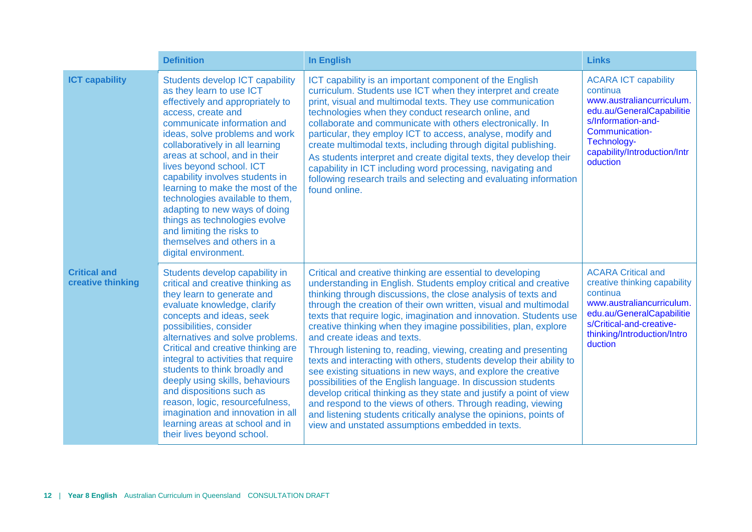|                                          | <b>Definition</b>                                                                                                                                                                                                                                                                                                                                                                                                                                                                                                                                            | <b>In English</b>                                                                                                                                                                                                                                                                                                                                                                                                                                                                                                                                                                                                                                                                                                                                                                                                                                                                                                                                                                        | <b>Links</b>                                                                                                                                                                                          |
|------------------------------------------|--------------------------------------------------------------------------------------------------------------------------------------------------------------------------------------------------------------------------------------------------------------------------------------------------------------------------------------------------------------------------------------------------------------------------------------------------------------------------------------------------------------------------------------------------------------|------------------------------------------------------------------------------------------------------------------------------------------------------------------------------------------------------------------------------------------------------------------------------------------------------------------------------------------------------------------------------------------------------------------------------------------------------------------------------------------------------------------------------------------------------------------------------------------------------------------------------------------------------------------------------------------------------------------------------------------------------------------------------------------------------------------------------------------------------------------------------------------------------------------------------------------------------------------------------------------|-------------------------------------------------------------------------------------------------------------------------------------------------------------------------------------------------------|
| <b>ICT capability</b>                    | <b>Students develop ICT capability</b><br>as they learn to use ICT<br>effectively and appropriately to<br>access, create and<br>communicate information and<br>ideas, solve problems and work<br>collaboratively in all learning<br>areas at school, and in their<br>lives beyond school. ICT<br>capability involves students in<br>learning to make the most of the<br>technologies available to them,<br>adapting to new ways of doing<br>things as technologies evolve<br>and limiting the risks to<br>themselves and others in a<br>digital environment. | ICT capability is an important component of the English<br>curriculum. Students use ICT when they interpret and create<br>print, visual and multimodal texts. They use communication<br>technologies when they conduct research online, and<br>collaborate and communicate with others electronically. In<br>particular, they employ ICT to access, analyse, modify and<br>create multimodal texts, including through digital publishing.<br>As students interpret and create digital texts, they develop their<br>capability in ICT including word processing, navigating and<br>following research trails and selecting and evaluating information<br>found online.                                                                                                                                                                                                                                                                                                                    | <b>ACARA ICT capability</b><br>continua<br>www.australiancurriculum.<br>edu.au/GeneralCapabilitie<br>s/Information-and-<br>Communication-<br>Technology-<br>capability/Introduction/Intr<br>oduction  |
| <b>Critical and</b><br>creative thinking | Students develop capability in<br>critical and creative thinking as<br>they learn to generate and<br>evaluate knowledge, clarify<br>concepts and ideas, seek<br>possibilities, consider<br>alternatives and solve problems.<br>Critical and creative thinking are<br>integral to activities that require<br>students to think broadly and<br>deeply using skills, behaviours<br>and dispositions such as<br>reason, logic, resourcefulness,<br>imagination and innovation in all<br>learning areas at school and in<br>their lives beyond school.            | Critical and creative thinking are essential to developing<br>understanding in English. Students employ critical and creative<br>thinking through discussions, the close analysis of texts and<br>through the creation of their own written, visual and multimodal<br>texts that require logic, imagination and innovation. Students use<br>creative thinking when they imagine possibilities, plan, explore<br>and create ideas and texts.<br>Through listening to, reading, viewing, creating and presenting<br>texts and interacting with others, students develop their ability to<br>see existing situations in new ways, and explore the creative<br>possibilities of the English language. In discussion students<br>develop critical thinking as they state and justify a point of view<br>and respond to the views of others. Through reading, viewing<br>and listening students critically analyse the opinions, points of<br>view and unstated assumptions embedded in texts. | <b>ACARA Critical and</b><br>creative thinking capability<br>continua<br>www.australiancurriculum.<br>edu.au/GeneralCapabilitie<br>s/Critical-and-creative-<br>thinking/Introduction/Intro<br>duction |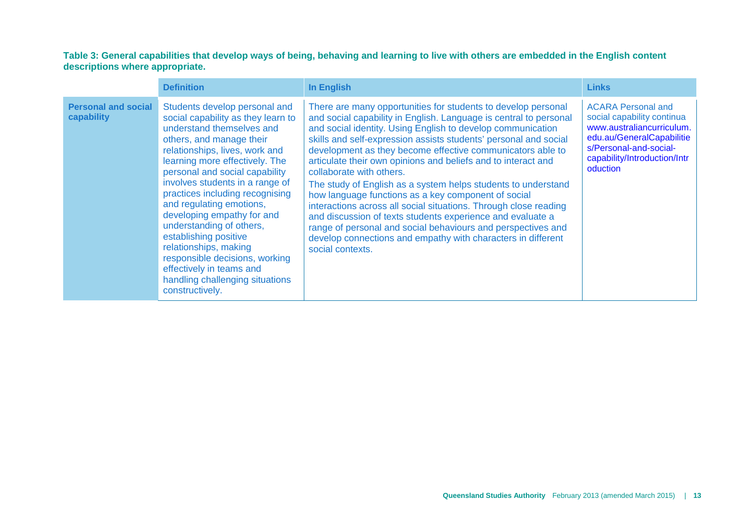#### **Table 3: General capabilities that develop ways of being, behaving and learning to live with others are embedded in the English content descriptions where appropriate.**

|                                          | <b>Definition</b>                                                                                                                                                                                                                                                                                                                                                                                                                                                                                                                                                    | In English                                                                                                                                                                                                                                                                                                                                                                                                                                                                                                                                                                                                                                                                                                                                                                                                                                     | <b>Links</b>                                                                                                                                                                            |
|------------------------------------------|----------------------------------------------------------------------------------------------------------------------------------------------------------------------------------------------------------------------------------------------------------------------------------------------------------------------------------------------------------------------------------------------------------------------------------------------------------------------------------------------------------------------------------------------------------------------|------------------------------------------------------------------------------------------------------------------------------------------------------------------------------------------------------------------------------------------------------------------------------------------------------------------------------------------------------------------------------------------------------------------------------------------------------------------------------------------------------------------------------------------------------------------------------------------------------------------------------------------------------------------------------------------------------------------------------------------------------------------------------------------------------------------------------------------------|-----------------------------------------------------------------------------------------------------------------------------------------------------------------------------------------|
| <b>Personal and social</b><br>capability | Students develop personal and<br>social capability as they learn to<br>understand themselves and<br>others, and manage their<br>relationships, lives, work and<br>learning more effectively. The<br>personal and social capability<br>involves students in a range of<br>practices including recognising<br>and regulating emotions,<br>developing empathy for and<br>understanding of others,<br>establishing positive<br>relationships, making<br>responsible decisions, working<br>effectively in teams and<br>handling challenging situations<br>constructively. | There are many opportunities for students to develop personal<br>and social capability in English. Language is central to personal<br>and social identity. Using English to develop communication<br>skills and self-expression assists students' personal and social<br>development as they become effective communicators able to<br>articulate their own opinions and beliefs and to interact and<br>collaborate with others.<br>The study of English as a system helps students to understand<br>how language functions as a key component of social<br>interactions across all social situations. Through close reading<br>and discussion of texts students experience and evaluate a<br>range of personal and social behaviours and perspectives and<br>develop connections and empathy with characters in different<br>social contexts. | <b>ACARA Personal and</b><br>social capability continua<br>www.australiancurriculum.<br>edu.au/GeneralCapabilitie<br>s/Personal-and-social-<br>capability/Introduction/Intr<br>oduction |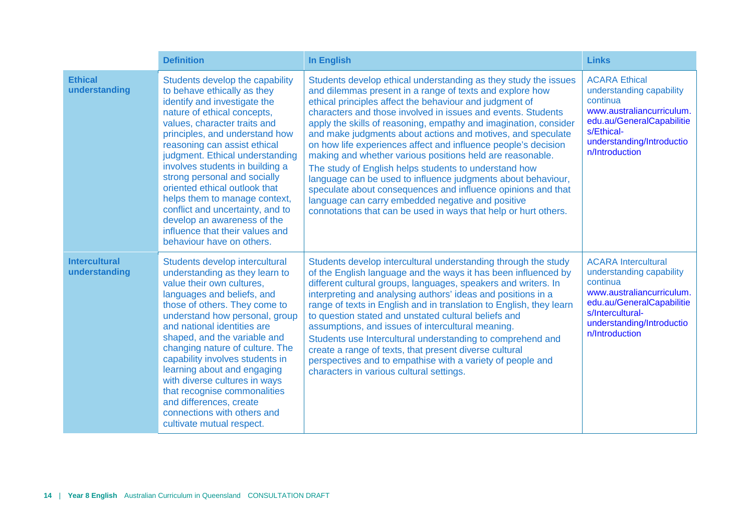|                                       | <b>Definition</b>                                                                                                                                                                                                                                                                                                                                                                                                                                                                                                                          | <b>In English</b>                                                                                                                                                                                                                                                                                                                                                                                                                                                                                                                                                                                                                                                                                                                                                                                                                         | <b>Links</b>                                                                                                                                                                                    |
|---------------------------------------|--------------------------------------------------------------------------------------------------------------------------------------------------------------------------------------------------------------------------------------------------------------------------------------------------------------------------------------------------------------------------------------------------------------------------------------------------------------------------------------------------------------------------------------------|-------------------------------------------------------------------------------------------------------------------------------------------------------------------------------------------------------------------------------------------------------------------------------------------------------------------------------------------------------------------------------------------------------------------------------------------------------------------------------------------------------------------------------------------------------------------------------------------------------------------------------------------------------------------------------------------------------------------------------------------------------------------------------------------------------------------------------------------|-------------------------------------------------------------------------------------------------------------------------------------------------------------------------------------------------|
| <b>Ethical</b><br>understanding       | Students develop the capability<br>to behave ethically as they<br>identify and investigate the<br>nature of ethical concepts,<br>values, character traits and<br>principles, and understand how<br>reasoning can assist ethical<br>judgment. Ethical understanding<br>involves students in building a<br>strong personal and socially<br>oriented ethical outlook that<br>helps them to manage context,<br>conflict and uncertainty, and to<br>develop an awareness of the<br>influence that their values and<br>behaviour have on others. | Students develop ethical understanding as they study the issues<br>and dilemmas present in a range of texts and explore how<br>ethical principles affect the behaviour and judgment of<br>characters and those involved in issues and events. Students<br>apply the skills of reasoning, empathy and imagination, consider<br>and make judgments about actions and motives, and speculate<br>on how life experiences affect and influence people's decision<br>making and whether various positions held are reasonable.<br>The study of English helps students to understand how<br>language can be used to influence judgments about behaviour,<br>speculate about consequences and influence opinions and that<br>language can carry embedded negative and positive<br>connotations that can be used in ways that help or hurt others. | <b>ACARA Ethical</b><br>understanding capability<br>continua<br>www.australiancurriculum.<br>edu.au/GeneralCapabilitie<br>s/Ethical-<br>understanding/Introductio<br>n/Introduction             |
| <b>Intercultural</b><br>understanding | Students develop intercultural<br>understanding as they learn to<br>value their own cultures,<br>languages and beliefs, and<br>those of others. They come to<br>understand how personal, group<br>and national identities are<br>shaped, and the variable and<br>changing nature of culture. The<br>capability involves students in<br>learning about and engaging<br>with diverse cultures in ways<br>that recognise commonalities<br>and differences, create<br>connections with others and<br>cultivate mutual respect.                 | Students develop intercultural understanding through the study<br>of the English language and the ways it has been influenced by<br>different cultural groups, languages, speakers and writers. In<br>interpreting and analysing authors' ideas and positions in a<br>range of texts in English and in translation to English, they learn<br>to question stated and unstated cultural beliefs and<br>assumptions, and issues of intercultural meaning.<br>Students use Intercultural understanding to comprehend and<br>create a range of texts, that present diverse cultural<br>perspectives and to empathise with a variety of people and<br>characters in various cultural settings.                                                                                                                                                  | <b>ACARA</b> Intercultural<br>understanding capability<br>continua<br>www.australiancurriculum.<br>edu.au/GeneralCapabilitie<br>s/Intercultural-<br>understanding/Introductio<br>n/Introduction |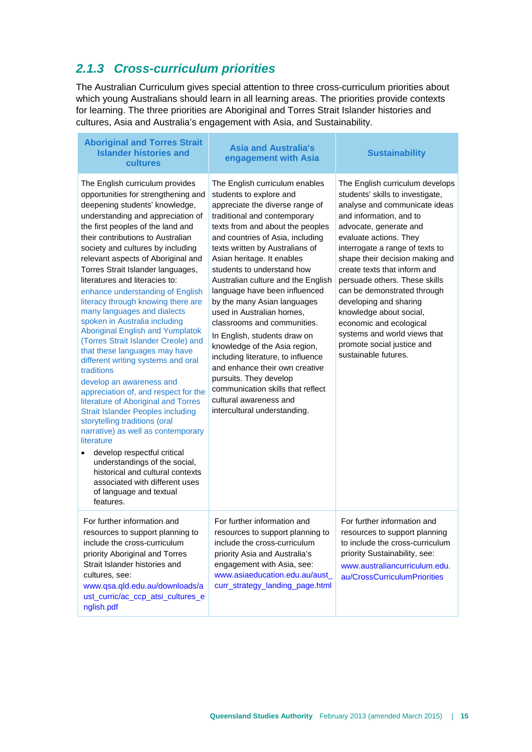## <span id="page-18-0"></span>*2.1.3 Cross-curriculum priorities*

The Australian Curriculum gives special attention to three cross-curriculum priorities about which young Australians should learn in all learning areas. The priorities provide contexts for learning. The three priorities are Aboriginal and Torres Strait Islander histories and cultures, Asia and Australia's engagement with Asia, and Sustainability.

| <b>Aboriginal and Torres Strait</b><br><b>Islander histories and</b><br>cultures                                                                                                                                                                                                                                                                                                                                                                                                                                                                                                                                                                                                                                                                                                                                                                                                                                                                                                                                                                                                                                     | <b>Asia and Australia's</b><br>engagement with Asia                                                                                                                                                                                                                                                                                                                                                                                                                                                                                                                                                                                                                                                                                     | <b>Sustainability</b>                                                                                                                                                                                                                                                                                                                                                                                                                                                                                                           |
|----------------------------------------------------------------------------------------------------------------------------------------------------------------------------------------------------------------------------------------------------------------------------------------------------------------------------------------------------------------------------------------------------------------------------------------------------------------------------------------------------------------------------------------------------------------------------------------------------------------------------------------------------------------------------------------------------------------------------------------------------------------------------------------------------------------------------------------------------------------------------------------------------------------------------------------------------------------------------------------------------------------------------------------------------------------------------------------------------------------------|-----------------------------------------------------------------------------------------------------------------------------------------------------------------------------------------------------------------------------------------------------------------------------------------------------------------------------------------------------------------------------------------------------------------------------------------------------------------------------------------------------------------------------------------------------------------------------------------------------------------------------------------------------------------------------------------------------------------------------------------|---------------------------------------------------------------------------------------------------------------------------------------------------------------------------------------------------------------------------------------------------------------------------------------------------------------------------------------------------------------------------------------------------------------------------------------------------------------------------------------------------------------------------------|
| The English curriculum provides<br>opportunities for strengthening and<br>deepening students' knowledge,<br>understanding and appreciation of<br>the first peoples of the land and<br>their contributions to Australian<br>society and cultures by including<br>relevant aspects of Aboriginal and<br>Torres Strait Islander languages,<br>literatures and literacies to:<br>enhance understanding of English<br>literacy through knowing there are<br>many languages and dialects<br>spoken in Australia including<br><b>Aboriginal English and Yumplatok</b><br>(Torres Strait Islander Creole) and<br>that these languages may have<br>different writing systems and oral<br>traditions<br>develop an awareness and<br>appreciation of, and respect for the<br>literature of Aboriginal and Torres<br><b>Strait Islander Peoples including</b><br>storytelling traditions (oral<br>narrative) as well as contemporary<br>literature<br>develop respectful critical<br>understandings of the social,<br>historical and cultural contexts<br>associated with different uses<br>of language and textual<br>features. | The English curriculum enables<br>students to explore and<br>appreciate the diverse range of<br>traditional and contemporary<br>texts from and about the peoples<br>and countries of Asia, including<br>texts written by Australians of<br>Asian heritage. It enables<br>students to understand how<br>Australian culture and the English<br>language have been influenced<br>by the many Asian languages<br>used in Australian homes,<br>classrooms and communities.<br>In English, students draw on<br>knowledge of the Asia region,<br>including literature, to influence<br>and enhance their own creative<br>pursuits. They develop<br>communication skills that reflect<br>cultural awareness and<br>intercultural understanding. | The English curriculum develops<br>students' skills to investigate,<br>analyse and communicate ideas<br>and information, and to<br>advocate, generate and<br>evaluate actions. They<br>interrogate a range of texts to<br>shape their decision making and<br>create texts that inform and<br>persuade others. These skills<br>can be demonstrated through<br>developing and sharing<br>knowledge about social,<br>economic and ecological<br>systems and world views that<br>promote social justice and<br>sustainable futures. |
| For further information and<br>resources to support planning to<br>include the cross-curriculum<br>priority Aboriginal and Torres<br>Strait Islander histories and<br>cultures, see:<br>www.qsa.qld.edu.au/downloads/a<br>ust_curric/ac_ccp_atsi_cultures_e<br>nglish.pdf                                                                                                                                                                                                                                                                                                                                                                                                                                                                                                                                                                                                                                                                                                                                                                                                                                            | For further information and<br>resources to support planning to<br>include the cross-curriculum<br>priority Asia and Australia's<br>engagement with Asia, see:<br>www.asiaeducation.edu.au/aust_<br>curr_strategy_landing_page.html                                                                                                                                                                                                                                                                                                                                                                                                                                                                                                     | For further information and<br>resources to support planning<br>to include the cross-curriculum<br>priority Sustainability, see:<br>www.australiancurriculum.edu.<br>au/CrossCurriculumPriorities                                                                                                                                                                                                                                                                                                                               |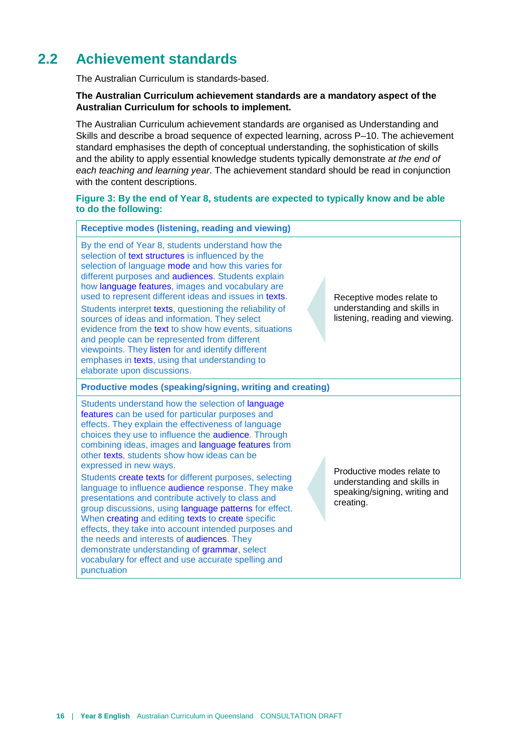## **2.2 Achievement standards**

<span id="page-19-0"></span>The Australian Curriculum is standards-based.

#### **The Australian Curriculum achievement standards are a mandatory aspect of the Australian Curriculum for schools to implement.**

The Australian Curriculum achievement standards are organised as Understanding and Skills and describe a broad sequence of expected learning, across P–10. The achievement standard emphasises the depth of conceptual understanding, the sophistication of skills and the ability to apply essential knowledge students typically demonstrate *at the end of each teaching and learning year*. The achievement standard should be read in conjunction with the content descriptions.

#### **Figure 3: By the end of Year 8, students are expected to typically know and be able to do the following:**

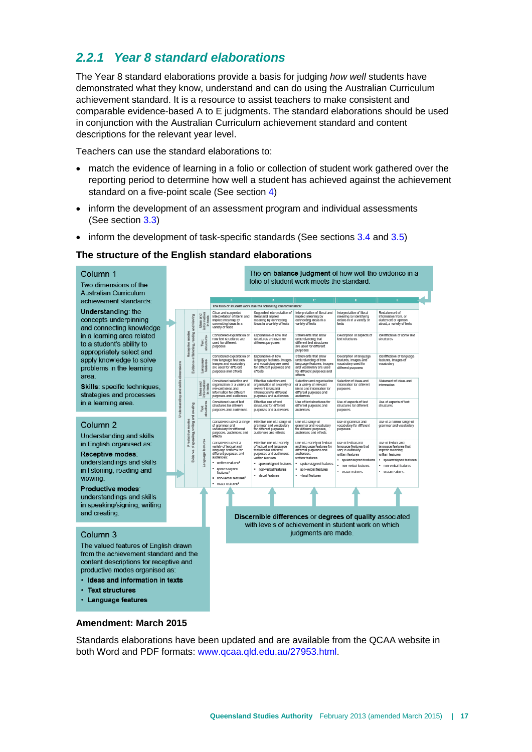## <span id="page-20-0"></span>*2.2.1 Year 8 standard elaborations*

The Year 8 standard elaborations provide a basis for judging *how well* students have demonstrated what they know, understand and can do using the Australian Curriculum achievement standard. It is a resource to assist teachers to make consistent and comparable evidence-based A to E judgments. The standard elaborations should be used in conjunction with the Australian Curriculum achievement standard and content descriptions for the relevant year level.

Teachers can use the standard elaborations to:

- match the evidence of learning in a folio or collection of student work gathered over the reporting period to determine how well a student has achieved against the achievement standard on a five-point scale (See section [4\)](#page-41-0)
- inform the development of an assessment program and individual assessments (See section [3.3\)](#page-32-0)
- inform the development of task-specific standards (See sections  $3.4$  and  $3.5$ )

#### **The structure of the English standard elaborations**

Column<sub>1</sub> Two dimensions of the **Australian Curriculum** achievement standards:

Understanding: the concepts underpinning and connecting knowledge in a learning area related to a student's ability to appropriately select and apply knowledge to solve problems in the learning area.

Skills: specific techniques, strategies and processes in a learning area.

#### Column<sub>2</sub>

**Understanding and skills** in English organised as:

Receptive modes: understandings and skills in listening, reading and viewing

**Productive modes** understandings and skills in speaking/signing, writing and creating.

#### Column<sub>3</sub>

The valued features of English drawn from the achievement standard and the content descriptions for receptive and productive modes organised as:

- Ideas and information in texts
- Text structures
- **Language features**



#### **Amendment: March 2015**

Standards elaborations have been updated and are available from the QCAA website in both Word and PDF formats: [www.qcaa.qld.edu.au/27953.html.](http://www.qcaa.qld.edu.au/27953.html)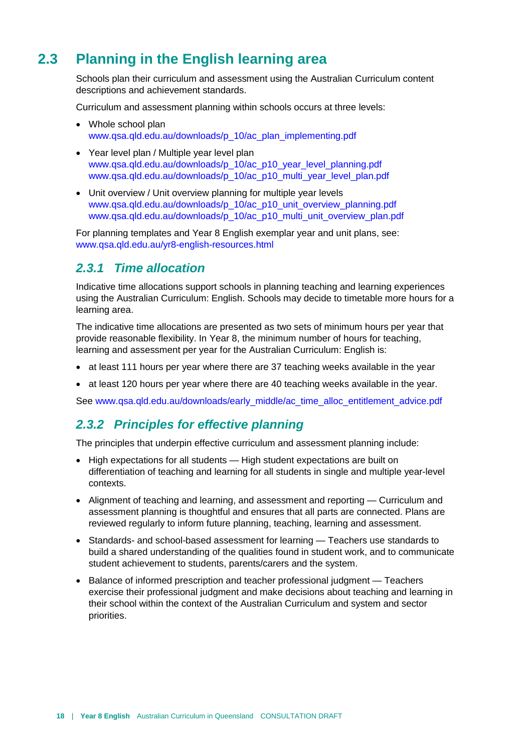## **2.3 Planning in the English learning area**

<span id="page-21-0"></span>Schools plan their curriculum and assessment using the Australian Curriculum content descriptions and achievement standards.

Curriculum and assessment planning within schools occurs at three levels:

- Whole school plan [www.qsa.qld.edu.au/downloads/p\\_10/ac\\_plan\\_implementing.pdf](http://www.qsa.qld.edu.au/downloads/p_10/ac_plan_implementing.pdf)
- Year level plan / Multiple year level plan [www.qsa.qld.edu.au/downloads/p\\_10/ac\\_p10\\_year\\_level\\_planning.pdf](http://www.qsa.qld.edu.au/downloads/p_10/ac_p10_year_level_planning.pdf) [www.qsa.qld.edu.au/downloads/p\\_10/ac\\_p10\\_multi\\_year\\_level\\_plan.pdf](http://www.qsa.qld.edu.au/downloads/p_10/ac_p10_multi_year_level_plan.pdf)
- Unit overview / Unit overview planning for multiple year levels [www.qsa.qld.edu.au/downloads/p\\_10/ac\\_p10\\_unit\\_overview\\_planning.pdf](http://www.qsa.qld.edu.au/downloads/p_10/ac_p10_unit_overview_planning.pdf) [www.qsa.qld.edu.au/downloads/p\\_10/ac\\_p10\\_multi\\_unit\\_overview\\_plan.pdf](http://www.qsa.qld.edu.au/downloads/p_10/ac_p10_multi_unit_overview_plan.pdf)

For planning templates and Year 8 English exemplar year and unit plans, see: [www.qsa.qld.edu.au/yr8-english-resources.html](http://www.qsa.qld.edu.au/yr8-english-resources.html)

#### <span id="page-21-1"></span>*2.3.1 Time allocation*

Indicative time allocations support schools in planning teaching and learning experiences using the Australian Curriculum: English. Schools may decide to timetable more hours for a learning area.

The indicative time allocations are presented as two sets of minimum hours per year that provide reasonable flexibility. In Year 8, the minimum number of hours for teaching, learning and assessment per year for the Australian Curriculum: English is:

- at least 111 hours per year where there are 37 teaching weeks available in the year
- at least 120 hours per year where there are 40 teaching weeks available in the year.

<span id="page-21-2"></span>See [www.qsa.qld.edu.au/downloads/early\\_middle/ac\\_time\\_alloc\\_entitlement\\_advice.pdf](http://www.qsa.qld.edu.au/downloads/early_middle/ac_time_alloc_entitlement_advice.pdf)

#### *2.3.2 Principles for effective planning*

The principles that underpin effective curriculum and assessment planning include:

- High expectations for all students High student expectations are built on differentiation of teaching and learning for all students in single and multiple year-level contexts.
- Alignment of teaching and learning, and assessment and reporting Curriculum and assessment planning is thoughtful and ensures that all parts are connected. Plans are reviewed regularly to inform future planning, teaching, learning and assessment.
- Standards- and school-based assessment for learning Teachers use standards to build a shared understanding of the qualities found in student work, and to communicate student achievement to students, parents/carers and the system.
- Balance of informed prescription and teacher professional judgment Teachers exercise their professional judgment and make decisions about teaching and learning in their school within the context of the Australian Curriculum and system and sector priorities.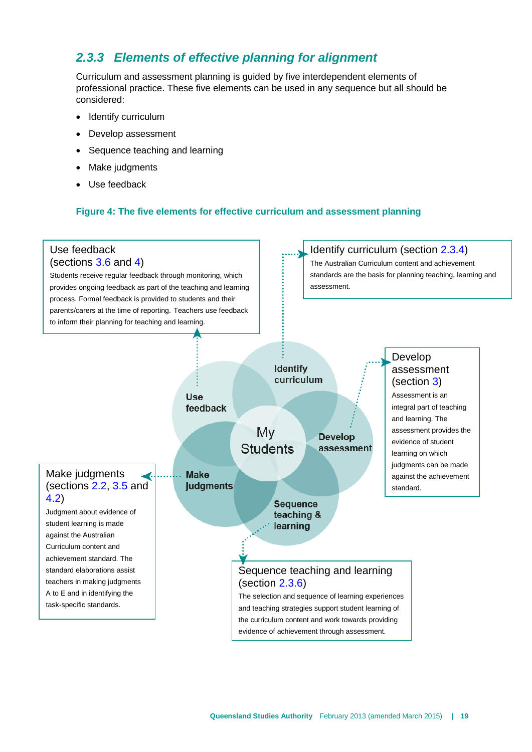## <span id="page-22-0"></span>*2.3.3 Elements of effective planning for alignment*

Curriculum and assessment planning is guided by five interdependent elements of professional practice. These five elements can be used in any sequence but all should be considered:

- Identify curriculum
- Develop assessment
- Sequence teaching and learning
- Make judgments
- Use feedback

#### **Figure 4: The five elements for effective curriculum and assessment planning**

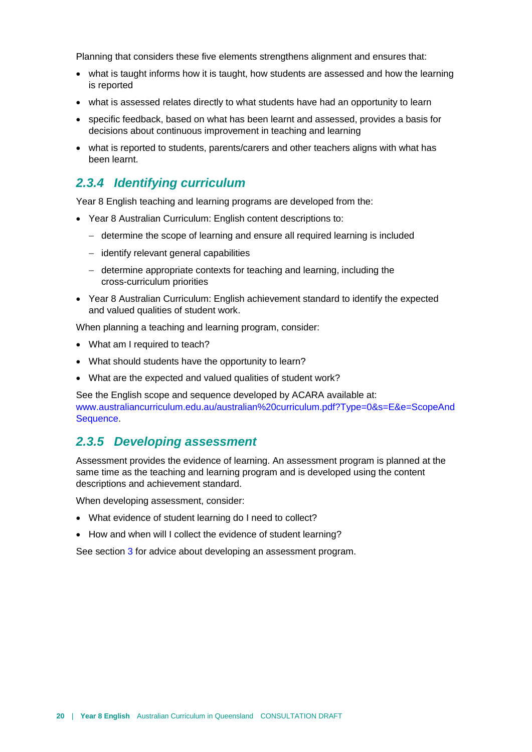Planning that considers these five elements strengthens alignment and ensures that:

- what is taught informs how it is taught, how students are assessed and how the learning is reported
- what is assessed relates directly to what students have had an opportunity to learn
- specific feedback, based on what has been learnt and assessed, provides a basis for decisions about continuous improvement in teaching and learning
- what is reported to students, parents/carers and other teachers aligns with what has been learnt.

#### <span id="page-23-0"></span>*2.3.4 Identifying curriculum*

Year 8 English teaching and learning programs are developed from the:

- Year 8 Australian Curriculum: English content descriptions to:
	- − determine the scope of learning and ensure all required learning is included
	- − identify relevant general capabilities
	- − determine appropriate contexts for teaching and learning, including the cross-curriculum priorities
- Year 8 Australian Curriculum: English achievement standard to identify the expected and valued qualities of student work.

When planning a teaching and learning program, consider:

- What am I required to teach?
- What should students have the opportunity to learn?
- What are the expected and valued qualities of student work?

See the English scope and sequence developed by ACARA available at: [www.australiancurriculum.edu.au/australian%20curriculum.pdf?Type=0&s=E&e=ScopeAnd](http://www.australiancurriculum.edu.au/australian%20curriculum.pdf?Type=0&s=E&e=ScopeAndSequence) [Sequence.](http://www.australiancurriculum.edu.au/australian%20curriculum.pdf?Type=0&s=E&e=ScopeAndSequence)

#### <span id="page-23-1"></span>*2.3.5 Developing assessment*

Assessment provides the evidence of learning. An assessment program is planned at the same time as the teaching and learning program and is developed using the content descriptions and achievement standard.

When developing assessment, consider:

- What evidence of student learning do I need to collect?
- How and when will I collect the evidence of student learning?

See section [3](#page-31-0) for advice about developing an assessment program.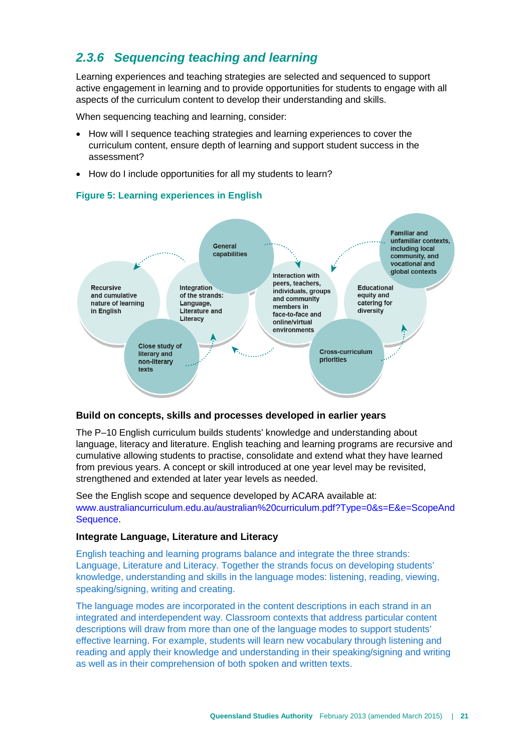## <span id="page-24-0"></span>*2.3.6 Sequencing teaching and learning*

Learning experiences and teaching strategies are selected and sequenced to support active engagement in learning and to provide opportunities for students to engage with all aspects of the curriculum content to develop their understanding and skills.

When sequencing teaching and learning, consider:

- How will I sequence teaching strategies and learning experiences to cover the curriculum content, ensure depth of learning and support student success in the assessment?
- How do I include opportunities for all my students to learn?



#### **Figure 5: Learning experiences in English**

#### **Build on concepts, skills and processes developed in earlier years**

The P–10 English curriculum builds students' knowledge and understanding about language, literacy and literature. English teaching and learning programs are recursive and cumulative allowing students to practise, consolidate and extend what they have learned from previous years. A concept or skill introduced at one year level may be revisited, strengthened and extended at later year levels as needed.

See the English scope and sequence developed by ACARA available at: [www.australiancurriculum.edu.au/australian%20curriculum.pdf?Type=0&s=E&e=ScopeAnd](http://www.australiancurriculum.edu.au/australian%20curriculum.pdf?Type=0&s=E&e=ScopeAndSequence) [Sequence.](http://www.australiancurriculum.edu.au/australian%20curriculum.pdf?Type=0&s=E&e=ScopeAndSequence)

#### **Integrate Language, Literature and Literacy**

English teaching and learning programs balance and integrate the three strands: Language, Literature and Literacy. Together the strands focus on developing students' knowledge, understanding and skills in the language modes: listening, reading, viewing, speaking/signing, writing and creating.

The language modes are incorporated in the content descriptions in each strand in an integrated and interdependent way. Classroom contexts that address particular content descriptions will draw from more than one of the language modes to support students' effective learning. For example, students will learn new vocabulary through listening and reading and apply their knowledge and understanding in their speaking/signing and writing as well as in their comprehension of both spoken and written texts.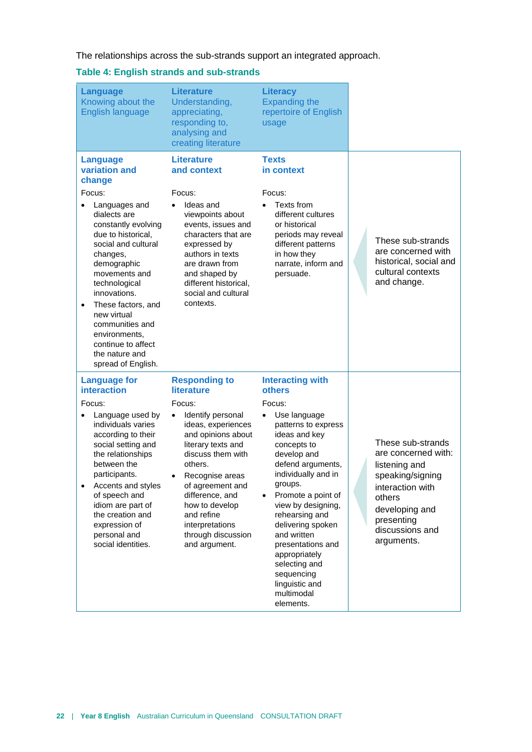The relationships across the sub-strands support an integrated approach.

#### **Table 4: English strands and sub-strands**

| <b>Language</b><br>Knowing about the<br>English language                                                                                                                                                                                                                                                                                                                                   | <b>Literature</b><br>Understanding,<br>appreciating,<br>responding to,<br>analysing and<br>creating literature                                                                                                                                                                                                          | <b>Literacy</b><br><b>Expanding the</b><br>repertoire of English<br>usage                                                                                                                                                                                                                                                                                                                                                              |                                                                                                                                                                              |
|--------------------------------------------------------------------------------------------------------------------------------------------------------------------------------------------------------------------------------------------------------------------------------------------------------------------------------------------------------------------------------------------|-------------------------------------------------------------------------------------------------------------------------------------------------------------------------------------------------------------------------------------------------------------------------------------------------------------------------|----------------------------------------------------------------------------------------------------------------------------------------------------------------------------------------------------------------------------------------------------------------------------------------------------------------------------------------------------------------------------------------------------------------------------------------|------------------------------------------------------------------------------------------------------------------------------------------------------------------------------|
| <b>Language</b><br>variation and<br>change<br>Focus:<br>Languages and<br>dialects are<br>constantly evolving<br>due to historical,<br>social and cultural<br>changes,<br>demographic<br>movements and<br>technological<br>innovations.<br>These factors, and<br>$\bullet$<br>new virtual<br>communities and<br>environments,<br>continue to affect<br>the nature and<br>spread of English. | <b>Literature</b><br>and context<br>Focus:<br>Ideas and<br>viewpoints about<br>events, issues and<br>characters that are<br>expressed by<br>authors in texts<br>are drawn from<br>and shaped by<br>different historical,<br>social and cultural<br>contexts.                                                            | <b>Texts</b><br>in context<br>Focus:<br>Texts from<br>different cultures<br>or historical<br>periods may reveal<br>different patterns<br>in how they<br>narrate, inform and<br>persuade.                                                                                                                                                                                                                                               | These sub-strands<br>are concerned with<br>historical, social and<br>cultural contexts<br>and change.                                                                        |
| <b>Language for</b><br><b>interaction</b><br>Focus:<br>Language used by<br>$\bullet$<br>individuals varies<br>according to their<br>social setting and<br>the relationships<br>between the<br>participants.<br>Accents and styles<br>$\bullet$<br>of speech and<br>idiom are part of<br>the creation and<br>expression of<br>personal and<br>social identities.                            | <b>Responding to</b><br>literature<br>Focus:<br>Identify personal<br>ideas, experiences<br>and opinions about<br>literary texts and<br>discuss them with<br>others.<br>Recognise areas<br>of agreement and<br>difference, and<br>how to develop<br>and refine<br>interpretations<br>through discussion<br>and argument. | <b>Interacting with</b><br>others<br>Focus:<br>Use language<br>$\bullet$<br>patterns to express<br>ideas and key<br>concepts to<br>develop and<br>defend arguments,<br>individually and in<br>groups.<br>Promote a point of<br>$\bullet$<br>view by designing,<br>rehearsing and<br>delivering spoken<br>and written<br>presentations and<br>appropriately<br>selecting and<br>sequencing<br>linguistic and<br>multimodal<br>elements. | These sub-strands<br>are concerned with:<br>listening and<br>speaking/signing<br>interaction with<br>others<br>developing and<br>presenting<br>discussions and<br>arguments. |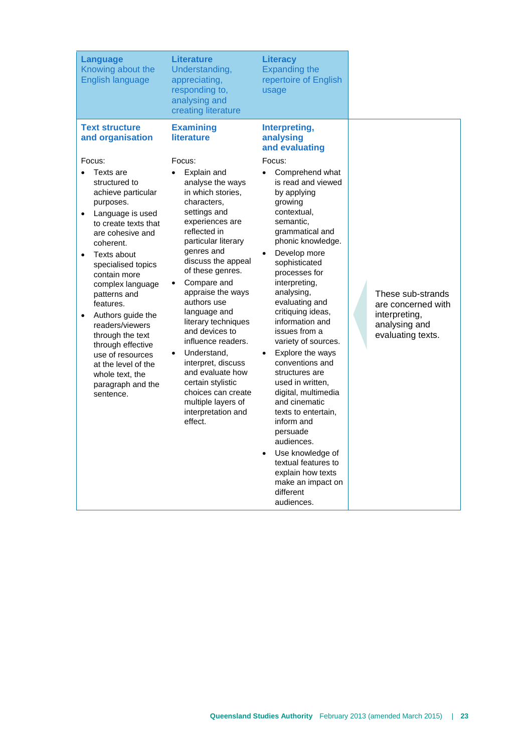| <b>Language</b><br>Knowing about the<br><b>English language</b>                                                                                                                                                                                                                                                                                                                                                                                                                    | <b>Literature</b><br>Understanding,<br>appreciating,<br>responding to,<br>analysing and<br>creating literature                                                                                                                                                                                                                                                                                                                                                                                               | <b>Literacy</b><br><b>Expanding the</b><br>repertoire of English<br>usage                                                                                                                                                                                                                                                                                                                                                                                                                                                                                                                                                            |                                                                                                |
|------------------------------------------------------------------------------------------------------------------------------------------------------------------------------------------------------------------------------------------------------------------------------------------------------------------------------------------------------------------------------------------------------------------------------------------------------------------------------------|--------------------------------------------------------------------------------------------------------------------------------------------------------------------------------------------------------------------------------------------------------------------------------------------------------------------------------------------------------------------------------------------------------------------------------------------------------------------------------------------------------------|--------------------------------------------------------------------------------------------------------------------------------------------------------------------------------------------------------------------------------------------------------------------------------------------------------------------------------------------------------------------------------------------------------------------------------------------------------------------------------------------------------------------------------------------------------------------------------------------------------------------------------------|------------------------------------------------------------------------------------------------|
| <b>Text structure</b><br>and organisation                                                                                                                                                                                                                                                                                                                                                                                                                                          | <b>Examining</b><br><b>literature</b>                                                                                                                                                                                                                                                                                                                                                                                                                                                                        | Interpreting,<br>analysing<br>and evaluating                                                                                                                                                                                                                                                                                                                                                                                                                                                                                                                                                                                         |                                                                                                |
| Focus:<br>Texts are<br>structured to<br>achieve particular<br>purposes.<br>Language is used<br>$\bullet$<br>to create texts that<br>are cohesive and<br>coherent.<br>Texts about<br>$\bullet$<br>specialised topics<br>contain more<br>complex language<br>patterns and<br>features.<br>Authors guide the<br>$\bullet$<br>readers/viewers<br>through the text<br>through effective<br>use of resources<br>at the level of the<br>whole text, the<br>paragraph and the<br>sentence. | Focus:<br>Explain and<br>analyse the ways<br>in which stories.<br>characters,<br>settings and<br>experiences are<br>reflected in<br>particular literary<br>genres and<br>discuss the appeal<br>of these genres.<br>Compare and<br>appraise the ways<br>authors use<br>language and<br>literary techniques<br>and devices to<br>influence readers.<br>Understand,<br>interpret, discuss<br>and evaluate how<br>certain stylistic<br>choices can create<br>multiple layers of<br>interpretation and<br>effect. | Focus:<br>Comprehend what<br>is read and viewed<br>by applying<br>growing<br>contextual,<br>semantic,<br>grammatical and<br>phonic knowledge.<br>Develop more<br>sophisticated<br>processes for<br>interpreting,<br>analysing,<br>evaluating and<br>critiquing ideas,<br>information and<br>issues from a<br>variety of sources.<br>Explore the ways<br>conventions and<br>structures are<br>used in written,<br>digital, multimedia<br>and cinematic<br>texts to entertain,<br>inform and<br>persuade<br>audiences.<br>Use knowledge of<br>textual features to<br>explain how texts<br>make an impact on<br>different<br>audiences. | These sub-strands<br>are concerned with<br>interpreting,<br>analysing and<br>evaluating texts. |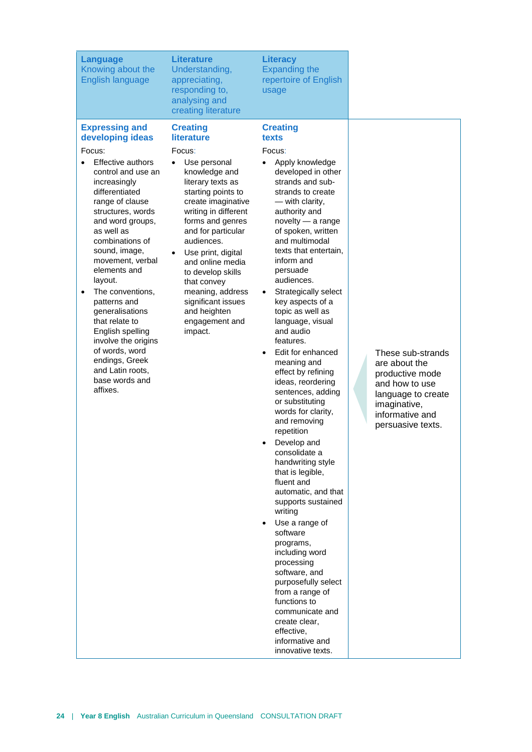| <b>Language</b><br>Knowing about the<br>English language                                                                                                                                                                                                                                                                                                                                                                                                                                                             | <b>Literature</b><br>Understanding,<br>appreciating,<br>responding to,<br>analysing and<br>creating literature                                                                                                                                                                                                                                                                                              | <b>Literacy</b><br><b>Expanding the</b><br>repertoire of English<br>usage                                                                                                                                                                                                                                                                                                                                                                                                                                                                                                                                                                                                                                                                                                                                                                                                                                                                                        |                                                                                     |
|----------------------------------------------------------------------------------------------------------------------------------------------------------------------------------------------------------------------------------------------------------------------------------------------------------------------------------------------------------------------------------------------------------------------------------------------------------------------------------------------------------------------|-------------------------------------------------------------------------------------------------------------------------------------------------------------------------------------------------------------------------------------------------------------------------------------------------------------------------------------------------------------------------------------------------------------|------------------------------------------------------------------------------------------------------------------------------------------------------------------------------------------------------------------------------------------------------------------------------------------------------------------------------------------------------------------------------------------------------------------------------------------------------------------------------------------------------------------------------------------------------------------------------------------------------------------------------------------------------------------------------------------------------------------------------------------------------------------------------------------------------------------------------------------------------------------------------------------------------------------------------------------------------------------|-------------------------------------------------------------------------------------|
| <b>Expressing and</b><br>developing ideas<br>Focus:<br>Effective authors<br>control and use an<br>increasingly<br>differentiated<br>range of clause<br>structures, words<br>and word groups,<br>as well as<br>combinations of<br>sound, image,<br>movement, verbal<br>elements and<br>layout.<br>The conventions,<br>$\bullet$<br>patterns and<br>generalisations<br>that relate to<br>English spelling<br>involve the origins<br>of words, word<br>endings, Greek<br>and Latin roots,<br>base words and<br>affixes. | <b>Creating</b><br>literature<br>Focus:<br>Use personal<br>knowledge and<br>literary texts as<br>starting points to<br>create imaginative<br>writing in different<br>forms and genres<br>and for particular<br>audiences.<br>Use print, digital<br>$\bullet$<br>and online media<br>to develop skills<br>that convey<br>meaning, address<br>significant issues<br>and heighten<br>engagement and<br>impact. | <b>Creating</b><br>texts<br>Focus:<br>Apply knowledge<br>developed in other<br>strands and sub-<br>strands to create<br>- with clarity,<br>authority and<br>novelty - a range<br>of spoken, written<br>and multimodal<br>texts that entertain,<br>inform and<br>persuade<br>audiences.<br>Strategically select<br>$\bullet$<br>key aspects of a<br>topic as well as<br>language, visual<br>and audio<br>features.<br>Edit for enhanced<br>meaning and<br>effect by refining<br>ideas, reordering<br>sentences, adding<br>or substituting<br>words for clarity,<br>and removing<br>repetition<br>Develop and<br>consolidate a<br>handwriting style<br>that is legible,<br>fluent and<br>automatic, and that<br>supports sustained<br>writing<br>Use a range of<br>$\bullet$<br>software<br>programs,<br>including word<br>processing<br>software, and<br>purposefully select<br>from a range of<br>functions to<br>communicate and<br>create clear,<br>effective, | These s<br>are abc<br>product<br>and how<br>langua<br>imagina<br>informa<br>persuas |

informative and innovative texts.

sub-strands out the tive mode w to use ge to create ative, ative and sive texts.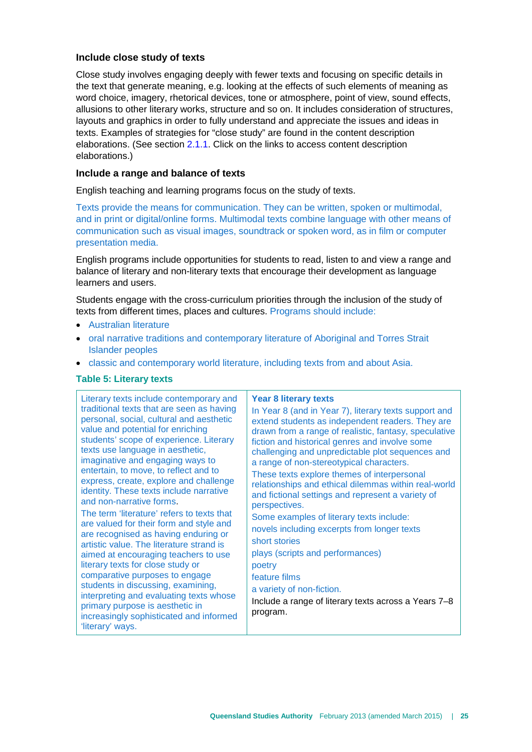#### **Include close study of texts**

Close study involves engaging deeply with fewer texts and focusing on specific details in the text that generate meaning, e.g. looking at the effects of such elements of meaning as word choice, imagery, rhetorical devices, tone or atmosphere, point of view, sound effects, allusions to other literary works, structure and so on. It includes consideration of structures, layouts and graphics in order to fully understand and appreciate the issues and ideas in texts. Examples of strategies for "close study" are found in the content description elaborations. (See section [2.1.1.](#page-8-0) Click on the links to access content description elaborations.)

#### **Include a range and balance of texts**

English teaching and learning programs focus on the study of texts.

Texts provide the means for communication. They can be written, spoken or multimodal, and in print or digital/online forms. Multimodal texts combine language with other means of communication such as visual images, soundtrack or spoken word, as in film or computer presentation media.

English programs include opportunities for students to read, listen to and view a range and balance of literary and non-literary texts that encourage their development as language learners and users.

Students engage with the cross-curriculum priorities through the inclusion of the study of texts from different times, places and cultures. Programs should include:

- Australian literature
- oral narrative traditions and contemporary literature of Aboriginal and Torres Strait Islander peoples
- classic and contemporary world literature, including texts from and about Asia.

#### **Table 5: Literary texts**

Literary texts include contemporary and traditional texts that are seen as having personal, social, cultural and aesthetic value and potential for enriching students' scope of experience. Literary texts use language in aesthetic, imaginative and engaging ways to entertain, to move, to reflect and to express, create, explore and challenge identity. These texts include narrative and non-narrative forms. The term 'literature' refers to texts that are valued for their form and style and are recognised as having enduring or artistic value. The literature strand is aimed at encouraging teachers to use literary texts for close study or comparative purposes to engage students in discussing, examining, interpreting and evaluating texts whose primary purpose is aesthetic in increasingly sophisticated and informed 'literary' ways.

#### **Year 8 literary texts**

In Year 8 (and in Year 7), literary texts support and extend students as independent readers. They are drawn from a range of realistic, fantasy, speculative fiction and historical genres and involve some challenging and unpredictable plot sequences and a range of non-stereotypical characters. These texts explore themes of interpersonal relationships and ethical dilemmas within real-world and fictional settings and represent a variety of perspectives. Some examples of literary texts include: novels including excerpts from longer texts short stories plays (scripts and performances) poetry feature films a variety of non-fiction. Include a range of literary texts across a Years 7–8 program.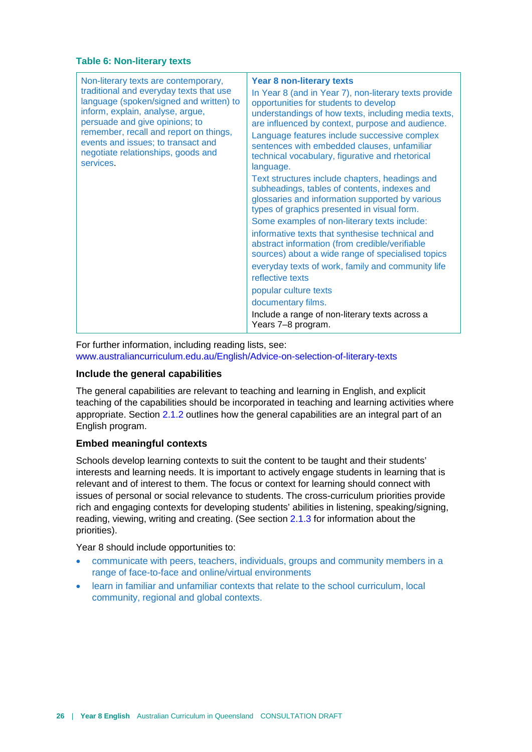#### **Table 6: Non-literary texts**

| Non-literary texts are contemporary,<br>traditional and everyday texts that use<br>language (spoken/signed and written) to<br>inform, explain, analyse, argue,<br>persuade and give opinions; to<br>remember, recall and report on things,<br>events and issues; to transact and<br>negotiate relationships, goods and<br>services. | <b>Year 8 non-literary texts</b><br>In Year 8 (and in Year 7), non-literary texts provide<br>opportunities for students to develop<br>understandings of how texts, including media texts,<br>are influenced by context, purpose and audience.<br>Language features include successive complex<br>sentences with embedded clauses, unfamiliar<br>technical vocabulary, figurative and rhetorical<br>language.<br>Text structures include chapters, headings and |
|-------------------------------------------------------------------------------------------------------------------------------------------------------------------------------------------------------------------------------------------------------------------------------------------------------------------------------------|----------------------------------------------------------------------------------------------------------------------------------------------------------------------------------------------------------------------------------------------------------------------------------------------------------------------------------------------------------------------------------------------------------------------------------------------------------------|
|                                                                                                                                                                                                                                                                                                                                     | subheadings, tables of contents, indexes and<br>glossaries and information supported by various<br>types of graphics presented in visual form.                                                                                                                                                                                                                                                                                                                 |
|                                                                                                                                                                                                                                                                                                                                     | Some examples of non-literary texts include:                                                                                                                                                                                                                                                                                                                                                                                                                   |
|                                                                                                                                                                                                                                                                                                                                     | informative texts that synthesise technical and<br>abstract information (from credible/verifiable<br>sources) about a wide range of specialised topics                                                                                                                                                                                                                                                                                                         |
|                                                                                                                                                                                                                                                                                                                                     | everyday texts of work, family and community life                                                                                                                                                                                                                                                                                                                                                                                                              |
|                                                                                                                                                                                                                                                                                                                                     | reflective texts                                                                                                                                                                                                                                                                                                                                                                                                                                               |
|                                                                                                                                                                                                                                                                                                                                     | popular culture texts                                                                                                                                                                                                                                                                                                                                                                                                                                          |
|                                                                                                                                                                                                                                                                                                                                     | documentary films.                                                                                                                                                                                                                                                                                                                                                                                                                                             |
|                                                                                                                                                                                                                                                                                                                                     | Include a range of non-literary texts across a<br>Years 7-8 program.                                                                                                                                                                                                                                                                                                                                                                                           |

For further information, including reading lists, see: [www.australiancurriculum.edu.au/English/Advice-on-selection-of-literary-texts](http://www.australiancurriculum.edu.au/English/Advice-on-selection-of-literary-texts)

#### **Include the general capabilities**

The general capabilities are relevant to teaching and learning in English, and explicit teaching of the capabilities should be incorporated in teaching and learning activities where appropriate. Section [2.1.2](#page-12-0) outlines how the general capabilities are an integral part of an English program.

#### **Embed meaningful contexts**

Schools develop learning contexts to suit the content to be taught and their students' interests and learning needs. It is important to actively engage students in learning that is relevant and of interest to them. The focus or context for learning should connect with issues of personal or social relevance to students. The cross-curriculum priorities provide rich and engaging contexts for developing students' abilities in listening, speaking/signing, reading, viewing, writing and creating. (See section [2.1.3](#page-18-0) for information about the priorities).

Year 8 should include opportunities to:

- communicate with peers, teachers, individuals, groups and community members in a range of face-to-face and online/virtual environments
- learn in familiar and unfamiliar contexts that relate to the school curriculum, local community, regional and global contexts.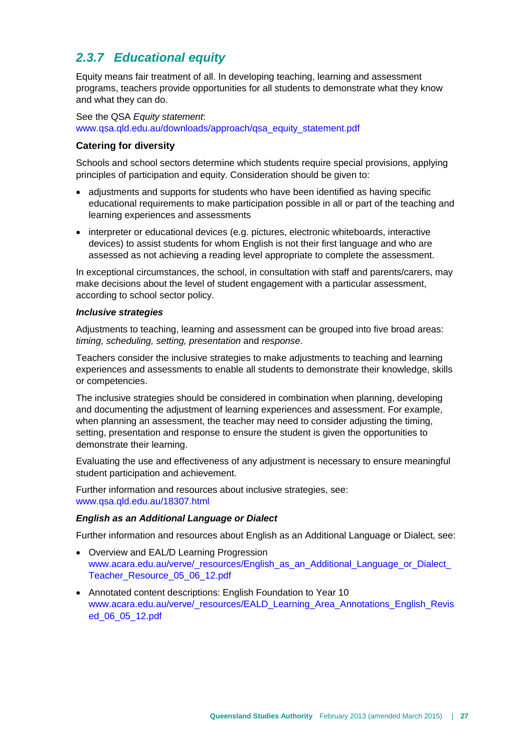## <span id="page-30-0"></span>*2.3.7 Educational equity*

Equity means fair treatment of all. In developing teaching, learning and assessment programs, teachers provide opportunities for all students to demonstrate what they know and what they can do.

See the QSA *Equity statement*: [www.qsa.qld.edu.au/downloads/approach/qsa\\_equity\\_statement.pdf](http://www.qsa.qld.edu.au/downloads/approach/qsa_equity_statement.pdf)

#### **Catering for diversity**

Schools and school sectors determine which students require special provisions, applying principles of participation and equity. Consideration should be given to:

- adjustments and supports for students who have been identified as having specific educational requirements to make participation possible in all or part of the teaching and learning experiences and assessments
- interpreter or educational devices (e.g. pictures, electronic whiteboards, interactive devices) to assist students for whom English is not their first language and who are assessed as not achieving a reading level appropriate to complete the assessment.

In exceptional circumstances, the school, in consultation with staff and parents/carers, may make decisions about the level of student engagement with a particular assessment, according to school sector policy.

#### *Inclusive strategies*

Adjustments to teaching, learning and assessment can be grouped into five broad areas: *timing, scheduling, setting, presentation* and *response*.

Teachers consider the inclusive strategies to make adjustments to teaching and learning experiences and assessments to enable all students to demonstrate their knowledge, skills or competencies.

The inclusive strategies should be considered in combination when planning, developing and documenting the adjustment of learning experiences and assessment. For example, when planning an assessment, the teacher may need to consider adjusting the timing, setting, presentation and response to ensure the student is given the opportunities to demonstrate their learning.

Evaluating the use and effectiveness of any adjustment is necessary to ensure meaningful student participation and achievement.

Further information and resources about inclusive strategies, see: [www.qsa.qld.edu.au/18307.html](http://www.qsa.qld.edu.au/18307.html)

#### *English as an Additional Language or Dialect*

Further information and resources about English as an Additional Language or Dialect, see:

- Overview and EAL/D Learning Progression www.acara.edu.au/verve/\_resources/English\_as\_an\_Additional\_Language\_or\_Dialect [Teacher\\_Resource\\_05\\_06\\_12.pdf](http://www.acara.edu.au/verve/_resources/English_as_an_Additional_Language_or_Dialect_Teacher_Resource_05_06_12.pdf)
- Annotated content descriptions: English Foundation to Year 10 [www.acara.edu.au/verve/\\_resources/EALD\\_Learning\\_Area\\_Annotations\\_English\\_Revis](http://www.acara.edu.au/verve/_resources/EALD_Learning_Area_Annotations_English_Revised_06_05_12.pdf) [ed\\_06\\_05\\_12.pdf](http://www.acara.edu.au/verve/_resources/EALD_Learning_Area_Annotations_English_Revised_06_05_12.pdf)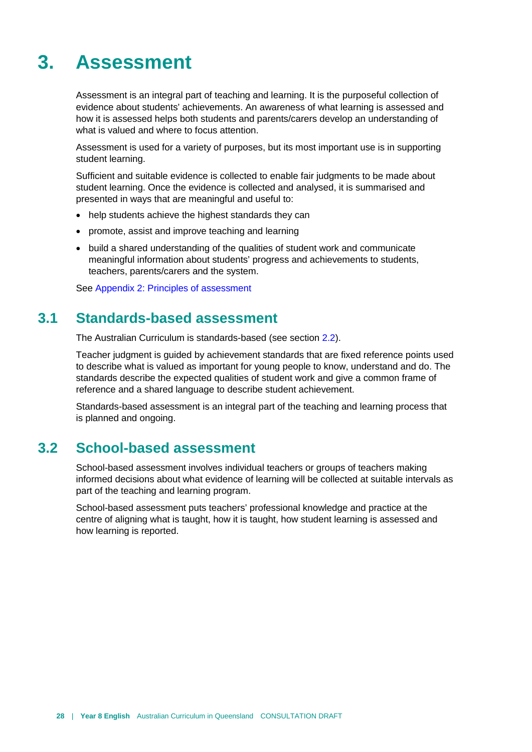# <span id="page-31-0"></span>**3. Assessment**

Assessment is an integral part of teaching and learning. It is the purposeful collection of evidence about students' achievements. An awareness of what learning is assessed and how it is assessed helps both students and parents/carers develop an understanding of what is valued and where to focus attention.

Assessment is used for a variety of purposes, but its most important use is in supporting student learning.

Sufficient and suitable evidence is collected to enable fair judgments to be made about student learning. Once the evidence is collected and analysed, it is summarised and presented in ways that are meaningful and useful to:

- help students achieve the highest standards they can
- promote, assist and improve teaching and learning
- build a shared understanding of the qualities of student work and communicate meaningful information about students' progress and achievements to students, teachers, parents/carers and the system.

<span id="page-31-1"></span>See [Appendix 2: Principles of assessment](#page-48-0)

## **3.1 Standards-based assessment**

The Australian Curriculum is standards-based (see section [2.2\)](#page-19-0).

Teacher judgment is guided by achievement standards that are fixed reference points used to describe what is valued as important for young people to know, understand and do. The standards describe the expected qualities of student work and give a common frame of reference and a shared language to describe student achievement.

<span id="page-31-2"></span>Standards-based assessment is an integral part of the teaching and learning process that is planned and ongoing.

## **3.2 School-based assessment**

School-based assessment involves individual teachers or groups of teachers making informed decisions about what evidence of learning will be collected at suitable intervals as part of the teaching and learning program.

School-based assessment puts teachers' professional knowledge and practice at the centre of aligning what is taught, how it is taught, how student learning is assessed and how learning is reported.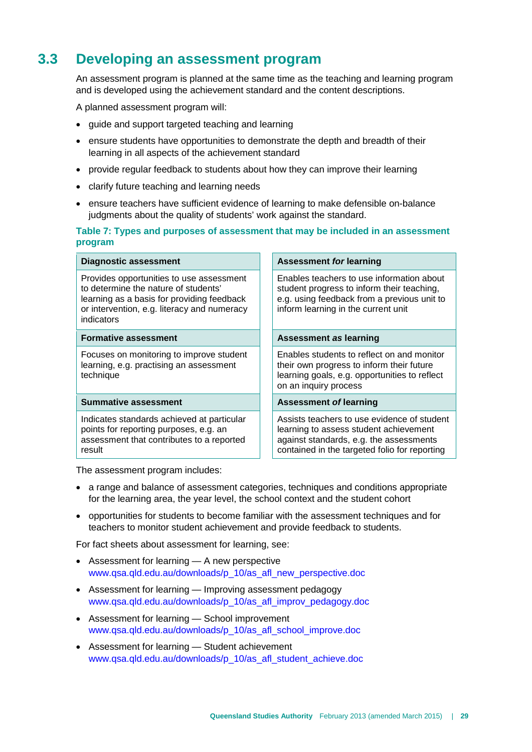## **3.3 Developing an assessment program**

<span id="page-32-0"></span>An assessment program is planned at the same time as the teaching and learning program and is developed using the achievement standard and the content descriptions.

A planned assessment program will:

- guide and support targeted teaching and learning
- ensure students have opportunities to demonstrate the depth and breadth of their learning in all aspects of the achievement standard
- provide regular feedback to students about how they can improve their learning
- clarify future teaching and learning needs
- ensure teachers have sufficient evidence of learning to make defensible on-balance judgments about the quality of students' work against the standard.

#### **Table 7: Types and purposes of assessment that may be included in an assessment program**

| <b>Diagnostic assessment</b>                                                                                                                                                                | <b>Assessment for learning</b>                                                                                                                                                    |
|---------------------------------------------------------------------------------------------------------------------------------------------------------------------------------------------|-----------------------------------------------------------------------------------------------------------------------------------------------------------------------------------|
| Provides opportunities to use assessment<br>to determine the nature of students'<br>learning as a basis for providing feedback<br>or intervention, e.g. literacy and numeracy<br>indicators | Enables teachers to use information about<br>student progress to inform their teaching,<br>e.g. using feedback from a previous unit to<br>inform learning in the current unit     |
| <b>Formative assessment</b>                                                                                                                                                                 | Assessment as learning                                                                                                                                                            |
| Focuses on monitoring to improve student<br>learning, e.g. practising an assessment<br>technique                                                                                            | Enables students to reflect on and monitor<br>their own progress to inform their future<br>learning goals, e.g. opportunities to reflect<br>on an inquiry process                 |
| <b>Summative assessment</b>                                                                                                                                                                 | <b>Assessment of learning</b>                                                                                                                                                     |
| Indicates standards achieved at particular<br>points for reporting purposes, e.g. an<br>assessment that contributes to a reported<br>result                                                 | Assists teachers to use evidence of student<br>learning to assess student achievement<br>against standards, e.g. the assessments<br>contained in the targeted folio for reporting |

The assessment program includes:

- a range and balance of assessment categories, techniques and conditions appropriate for the learning area, the year level, the school context and the student cohort
- opportunities for students to become familiar with the assessment techniques and for teachers to monitor student achievement and provide feedback to students.

For fact sheets about assessment for learning, see:

- Assessment for learning A new perspective [www.qsa.qld.edu.au/downloads/p\\_10/as\\_afl\\_new\\_perspective.doc](http://www.qsa.qld.edu.au/downloads/p_10/as_afl_new_perspective.doc)
- Assessment for learning Improving assessment pedagogy [www.qsa.qld.edu.au/downloads/p\\_10/as\\_afl\\_improv\\_pedagogy.doc](http://www.qsa.qld.edu.au/downloads/p_10/as_afl_improv_pedagogy.doc)
- Assessment for learning School improvement [www.qsa.qld.edu.au/downloads/p\\_10/as\\_afl\\_school\\_improve.doc](http://www.qsa.qld.edu.au/downloads/p_10/as_afl_school_improve.doc)
- Assessment for learning Student achievement [www.qsa.qld.edu.au/downloads/p\\_10/as\\_afl\\_student\\_achieve.doc](http://www.qsa.qld.edu.au/downloads/p_10/as_afl_student_achieve.doc)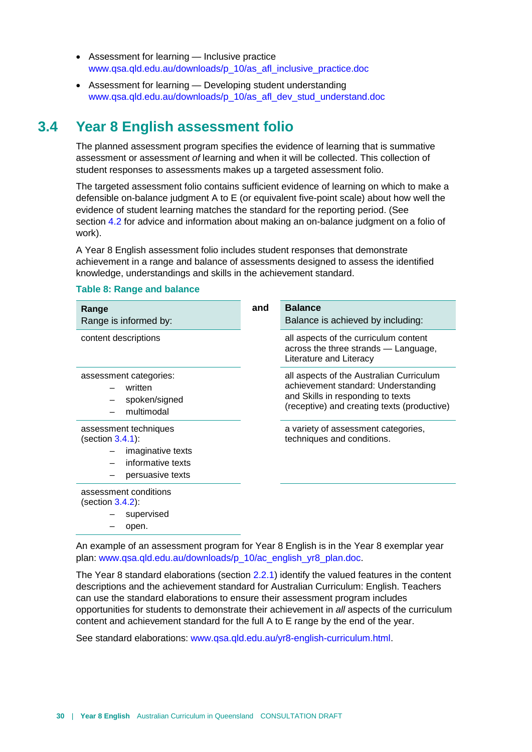- Assessment for learning Inclusive practice [www.qsa.qld.edu.au/downloads/p\\_10/as\\_afl\\_inclusive\\_practice.doc](http://www.qsa.qld.edu.au/downloads/p_10/as_afl_inclusive_practice.doc)
- <span id="page-33-0"></span>• Assessment for learning — Developing student understanding [www.qsa.qld.edu.au/downloads/p\\_10/as\\_afl\\_dev\\_stud\\_understand.doc](http://www.qsa.qld.edu.au/downloads/p_10/as_afl_dev_stud_understand.doc)

## **3.4 Year 8 English assessment folio**

The planned assessment program specifies the evidence of learning that is summative assessment or assessment *of* learning and when it will be collected. This collection of student responses to assessments makes up a targeted assessment folio.

The targeted assessment folio contains sufficient evidence of learning on which to make a defensible on-balance judgment A to E (or equivalent five-point scale) about how well the evidence of student learning matches the standard for the reporting period. (See section [4.2](#page-43-0) for advice and information about making an on-balance judgment on a folio of work).

A Year 8 English assessment folio includes student responses that demonstrate achievement in a range and balance of assessments designed to assess the identified knowledge, understandings and skills in the achievement standard.

| <b>Table 8: Range and balance</b> |  |  |  |  |
|-----------------------------------|--|--|--|--|
|-----------------------------------|--|--|--|--|

| Range<br>Range is informed by:                                                                          | and | <b>Balance</b><br>Balance is achieved by including:                                                                                                                 |
|---------------------------------------------------------------------------------------------------------|-----|---------------------------------------------------------------------------------------------------------------------------------------------------------------------|
| content descriptions                                                                                    |     | all aspects of the curriculum content<br>across the three strands — Language,<br>Literature and Literacy                                                            |
| assessment categories:<br>written<br>spoken/signed<br>multimodal                                        |     | all aspects of the Australian Curriculum<br>achievement standard: Understanding<br>and Skills in responding to texts<br>(receptive) and creating texts (productive) |
| assessment techniques<br>(section 3.4.1):<br>imaginative texts<br>informative texts<br>persuasive texts |     | a variety of assessment categories,<br>techniques and conditions.                                                                                                   |
| assessment conditions<br>(section 3.4.2):<br>supervised                                                 |     |                                                                                                                                                                     |

– open.

An example of an assessment program for Year 8 English is in the Year 8 exemplar year plan: [www.qsa.qld.edu.au/downloads/p\\_10/ac\\_english\\_yr8\\_plan.doc.](http://www.qsa.qld.edu.au/downloads/p_10/ac_english_yr8_plan.doc)

The Year 8 standard elaborations (section [2.2.1\)](#page-20-0) identify the valued features in the content descriptions and the achievement standard for Australian Curriculum: English. Teachers can use the standard elaborations to ensure their assessment program includes opportunities for students to demonstrate their achievement in *all* aspects of the curriculum content and achievement standard for the full A to E range by the end of the year.

See standard elaborations: [www.qsa.qld.edu.au/yr8-english-curriculum.html.](http://www.qsa.qld.edu.au/yr8-english-curriculum.html)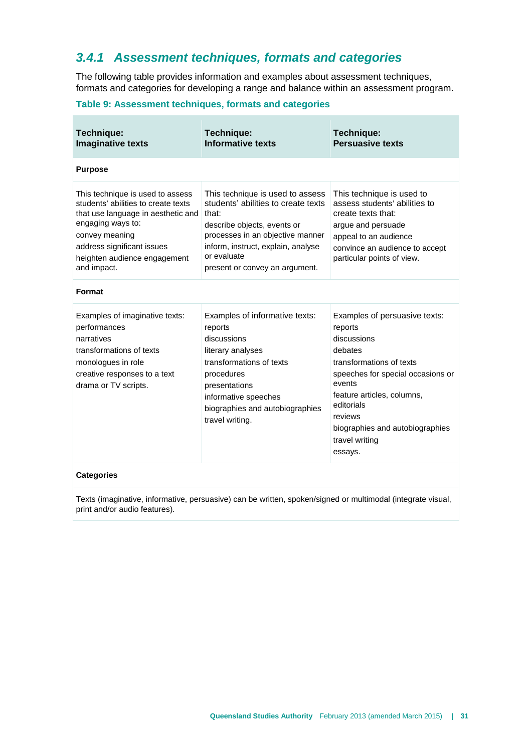## <span id="page-34-0"></span>*3.4.1 Assessment techniques, formats and categories*

The following table provides information and examples about assessment techniques, formats and categories for developing a range and balance within an assessment program.

#### **Table 9: Assessment techniques, formats and categories**

| Technique:<br><b>Imaginative texts</b>                                                                                                                                                                                            | Technique:<br><b>Informative texts</b>                                                                                                                                                                                                     | Technique:<br><b>Persuasive texts</b>                                                                                                                                                                                                                                |
|-----------------------------------------------------------------------------------------------------------------------------------------------------------------------------------------------------------------------------------|--------------------------------------------------------------------------------------------------------------------------------------------------------------------------------------------------------------------------------------------|----------------------------------------------------------------------------------------------------------------------------------------------------------------------------------------------------------------------------------------------------------------------|
| <b>Purpose</b>                                                                                                                                                                                                                    |                                                                                                                                                                                                                                            |                                                                                                                                                                                                                                                                      |
| This technique is used to assess<br>students' abilities to create texts<br>that use language in aesthetic and<br>engaging ways to:<br>convey meaning<br>address significant issues<br>heighten audience engagement<br>and impact. | This technique is used to assess<br>students' abilities to create texts<br>that:<br>describe objects, events or<br>processes in an objective manner<br>inform, instruct, explain, analyse<br>or evaluate<br>present or convey an argument. | This technique is used to<br>assess students' abilities to<br>create texts that:<br>argue and persuade<br>appeal to an audience<br>convince an audience to accept<br>particular points of view.                                                                      |
| Format                                                                                                                                                                                                                            |                                                                                                                                                                                                                                            |                                                                                                                                                                                                                                                                      |
| Examples of imaginative texts:<br>performances<br>narratives<br>transformations of texts<br>monologues in role<br>creative responses to a text<br>drama or TV scripts.                                                            | Examples of informative texts:<br>reports<br>discussions<br>literary analyses<br>transformations of texts<br>procedures<br>presentations<br>informative speeches<br>biographies and autobiographies<br>travel writing.                     | Examples of persuasive texts:<br>reports<br>discussions<br>debates<br>transformations of texts<br>speeches for special occasions or<br>events<br>feature articles, columns,<br>editorials<br>reviews<br>biographies and autobiographies<br>travel writing<br>essays. |
| <b>Categories</b>                                                                                                                                                                                                                 |                                                                                                                                                                                                                                            |                                                                                                                                                                                                                                                                      |

Texts (imaginative, informative, persuasive) can be written, spoken/signed or multimodal (integrate visual, print and/or audio features).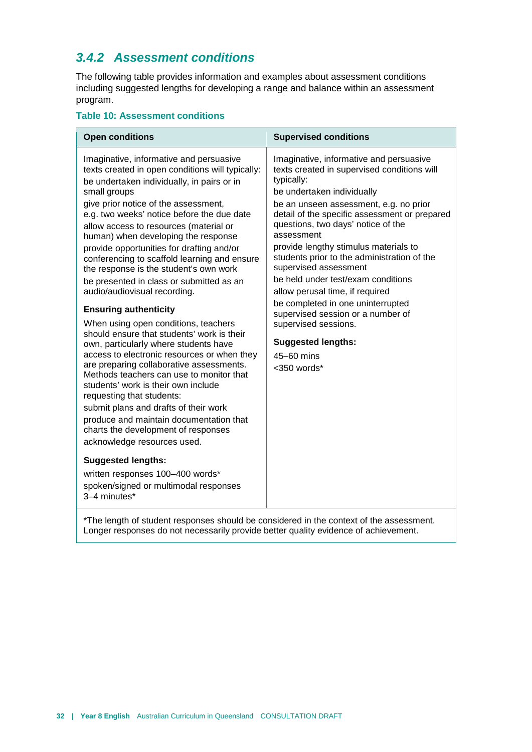## <span id="page-35-0"></span>*3.4.2 Assessment conditions*

The following table provides information and examples about assessment conditions including suggested lengths for developing a range and balance within an assessment program.

#### **Table 10: Assessment conditions**

| <b>Open conditions</b>                                                                                                                                                                                                                                                                                                                                                                                                                                                                                                                                                                                                                                                                                                                                                                                                                                                                                                                                                                                                                                                                                                                                                                                            | <b>Supervised conditions</b>                                                                                                                                                                                                                                                                                                                                                                                                                                                                                                                                                                                                            |
|-------------------------------------------------------------------------------------------------------------------------------------------------------------------------------------------------------------------------------------------------------------------------------------------------------------------------------------------------------------------------------------------------------------------------------------------------------------------------------------------------------------------------------------------------------------------------------------------------------------------------------------------------------------------------------------------------------------------------------------------------------------------------------------------------------------------------------------------------------------------------------------------------------------------------------------------------------------------------------------------------------------------------------------------------------------------------------------------------------------------------------------------------------------------------------------------------------------------|-----------------------------------------------------------------------------------------------------------------------------------------------------------------------------------------------------------------------------------------------------------------------------------------------------------------------------------------------------------------------------------------------------------------------------------------------------------------------------------------------------------------------------------------------------------------------------------------------------------------------------------------|
| Imaginative, informative and persuasive<br>texts created in open conditions will typically:<br>be undertaken individually, in pairs or in<br>small groups<br>give prior notice of the assessment,<br>e.g. two weeks' notice before the due date<br>allow access to resources (material or<br>human) when developing the response<br>provide opportunities for drafting and/or<br>conferencing to scaffold learning and ensure<br>the response is the student's own work<br>be presented in class or submitted as an<br>audio/audiovisual recording.<br><b>Ensuring authenticity</b><br>When using open conditions, teachers<br>should ensure that students' work is their<br>own, particularly where students have<br>access to electronic resources or when they<br>are preparing collaborative assessments.<br>Methods teachers can use to monitor that<br>students' work is their own include<br>requesting that students:<br>submit plans and drafts of their work<br>produce and maintain documentation that<br>charts the development of responses<br>acknowledge resources used.<br><b>Suggested lengths:</b><br>written responses 100-400 words*<br>spoken/signed or multimodal responses<br>3-4 minutes* | Imaginative, informative and persuasive<br>texts created in supervised conditions will<br>typically:<br>be undertaken individually<br>be an unseen assessment, e.g. no prior<br>detail of the specific assessment or prepared<br>questions, two days' notice of the<br>assessment<br>provide lengthy stimulus materials to<br>students prior to the administration of the<br>supervised assessment<br>be held under test/exam conditions<br>allow perusal time, if required<br>be completed in one uninterrupted<br>supervised session or a number of<br>supervised sessions.<br><b>Suggested lengths:</b><br>45-60 mins<br><350 words* |

\*The length of student responses should be considered in the context of the assessment. Longer responses do not necessarily provide better quality evidence of achievement.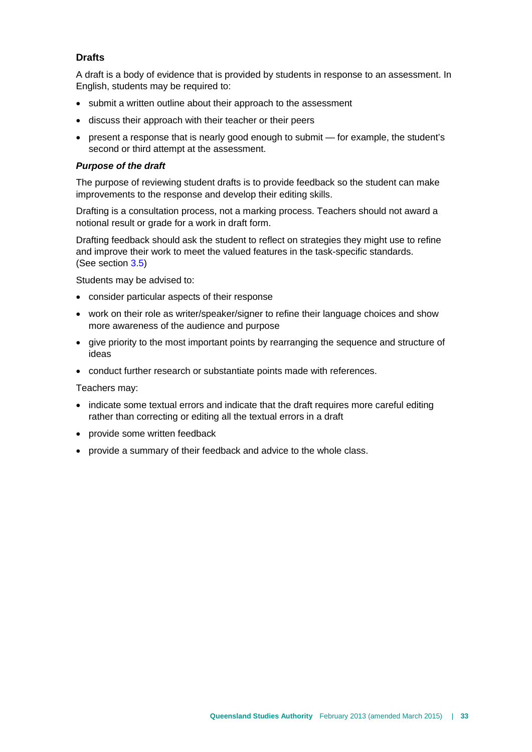#### **Drafts**

A draft is a body of evidence that is provided by students in response to an assessment. In English, students may be required to:

- submit a written outline about their approach to the assessment
- discuss their approach with their teacher or their peers
- present a response that is nearly good enough to submit for example, the student's second or third attempt at the assessment.

#### *Purpose of the draft*

The purpose of reviewing student drafts is to provide feedback so the student can make improvements to the response and develop their editing skills.

Drafting is a consultation process, not a marking process. Teachers should not award a notional result or grade for a work in draft form.

Drafting feedback should ask the student to reflect on strategies they might use to refine and improve their work to meet the valued features in the task-specific standards. (See section [3.5\)](#page-39-0)

Students may be advised to:

- consider particular aspects of their response
- work on their role as writer/speaker/signer to refine their language choices and show more awareness of the audience and purpose
- give priority to the most important points by rearranging the sequence and structure of ideas
- conduct further research or substantiate points made with references.

Teachers may:

- indicate some textual errors and indicate that the draft requires more careful editing rather than correcting or editing all the textual errors in a draft
- provide some written feedback
- provide a summary of their feedback and advice to the whole class.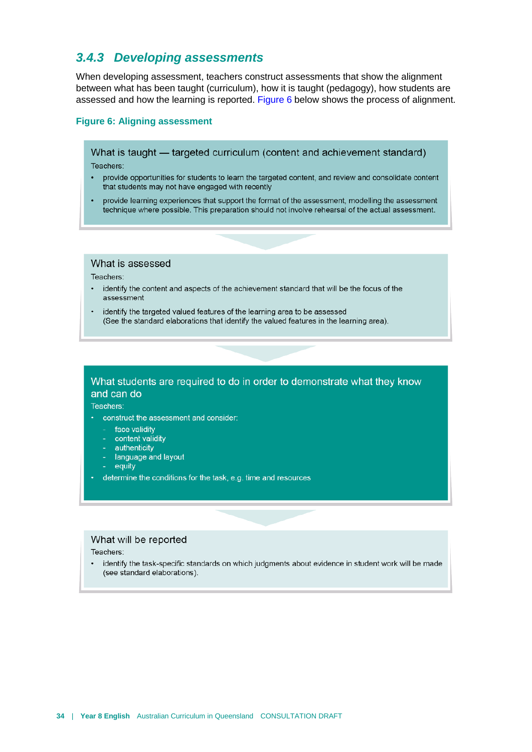#### <span id="page-37-0"></span>*3.4.3 Developing assessments*

When developing assessment, teachers construct assessments that show the alignment between what has been taught (curriculum), how it is taught (pedagogy), how students are assessed and how the learning is reported. [Figure 6](#page-37-1) below shows the process of alignment.

#### <span id="page-37-1"></span>**Figure 6: Aligning assessment**

What is taught — targeted curriculum (content and achievement standard)

Teachers:

- provide opportunities for students to learn the targeted content, and review and consolidate content  $\bullet$ that students may not have engaged with recently
- provide learning experiences that support the format of the assessment, modelling the assessment technique where possible. This preparation should not involve rehearsal of the actual assessment.

#### What is assessed

Teachers:

- identify the content and aspects of the achievement standard that will be the focus of the  $\bullet$ assessment
- identify the targeted valued features of the learning area to be assessed (See the standard elaborations that identify the valued features in the learning area).

#### What students are required to do in order to demonstrate what they know and can do

Teachers:

- construct the assessment and consider:
	- face validity
	- content validity
	- authenticity
	- additeracty<br>- language and layout<br>- equity
	- equity
- determine the conditions for the task, e.g. time and resources

#### What will be reported

#### Teachers:

identify the task-specific standards on which judgments about evidence in student work will be made  $\bullet$ (see standard elaborations).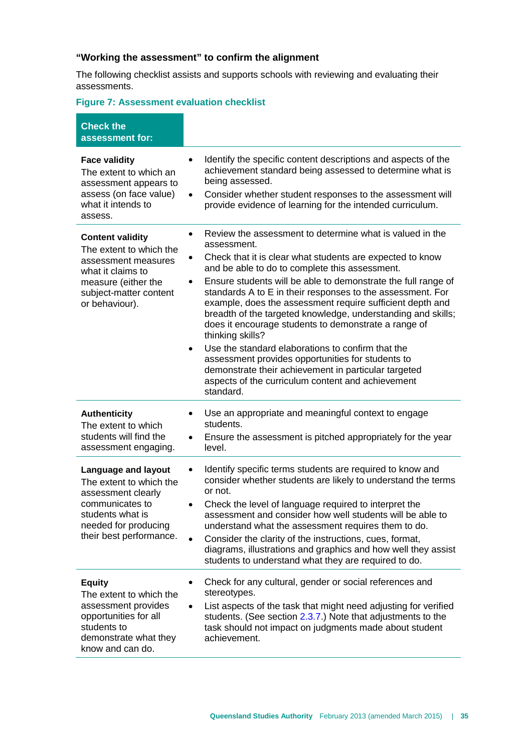#### **"Working the assessment" to confirm the alignment**

The following checklist assists and supports schools with reviewing and evaluating their assessments.

#### **Figure 7: Assessment evaluation checklist**

| <b>Check the</b><br>assessment for:                                                                                                                                   |                                                                                                                                                                                                                                                                                                                                                                                                                                                                                                                                                                                                                                                                                                                                                                                                                |
|-----------------------------------------------------------------------------------------------------------------------------------------------------------------------|----------------------------------------------------------------------------------------------------------------------------------------------------------------------------------------------------------------------------------------------------------------------------------------------------------------------------------------------------------------------------------------------------------------------------------------------------------------------------------------------------------------------------------------------------------------------------------------------------------------------------------------------------------------------------------------------------------------------------------------------------------------------------------------------------------------|
| <b>Face validity</b><br>The extent to which an<br>assessment appears to<br>assess (on face value)<br>what it intends to<br>assess.                                    | Identify the specific content descriptions and aspects of the<br>$\bullet$<br>achievement standard being assessed to determine what is<br>being assessed.<br>Consider whether student responses to the assessment will<br>$\bullet$<br>provide evidence of learning for the intended curriculum.                                                                                                                                                                                                                                                                                                                                                                                                                                                                                                               |
| <b>Content validity</b><br>The extent to which the<br>assessment measures<br>what it claims to<br>measure (either the<br>subject-matter content<br>or behaviour).     | Review the assessment to determine what is valued in the<br>$\bullet$<br>assessment.<br>Check that it is clear what students are expected to know<br>٠<br>and be able to do to complete this assessment.<br>Ensure students will be able to demonstrate the full range of<br>$\bullet$<br>standards A to E in their responses to the assessment. For<br>example, does the assessment require sufficient depth and<br>breadth of the targeted knowledge, understanding and skills;<br>does it encourage students to demonstrate a range of<br>thinking skills?<br>Use the standard elaborations to confirm that the<br>$\bullet$<br>assessment provides opportunities for students to<br>demonstrate their achievement in particular targeted<br>aspects of the curriculum content and achievement<br>standard. |
| <b>Authenticity</b><br>The extent to which<br>students will find the<br>assessment engaging.                                                                          | Use an appropriate and meaningful context to engage<br>$\bullet$<br>students.<br>Ensure the assessment is pitched appropriately for the year<br>$\bullet$<br>level.                                                                                                                                                                                                                                                                                                                                                                                                                                                                                                                                                                                                                                            |
| <b>Language and layout</b><br>The extent to which the<br>assessment clearly<br>communicates to<br>students what is<br>needed for producing<br>their best performance. | Identify specific terms students are required to know and<br>$\bullet$<br>consider whether students are likely to understand the terms<br>or not.<br>Check the level of language required to interpret the<br>$\bullet$<br>assessment and consider how well students will be able to<br>understand what the assessment requires them to do.<br>Consider the clarity of the instructions, cues, format,<br>diagrams, illustrations and graphics and how well they assist<br>students to understand what they are required to do.                                                                                                                                                                                                                                                                                |
| <b>Equity</b><br>The extent to which the<br>assessment provides<br>opportunities for all<br>students to<br>demonstrate what they<br>know and can do.                  | Check for any cultural, gender or social references and<br>$\bullet$<br>stereotypes.<br>List aspects of the task that might need adjusting for verified<br>$\bullet$<br>students. (See section 2.3.7.) Note that adjustments to the<br>task should not impact on judgments made about student<br>achievement.                                                                                                                                                                                                                                                                                                                                                                                                                                                                                                  |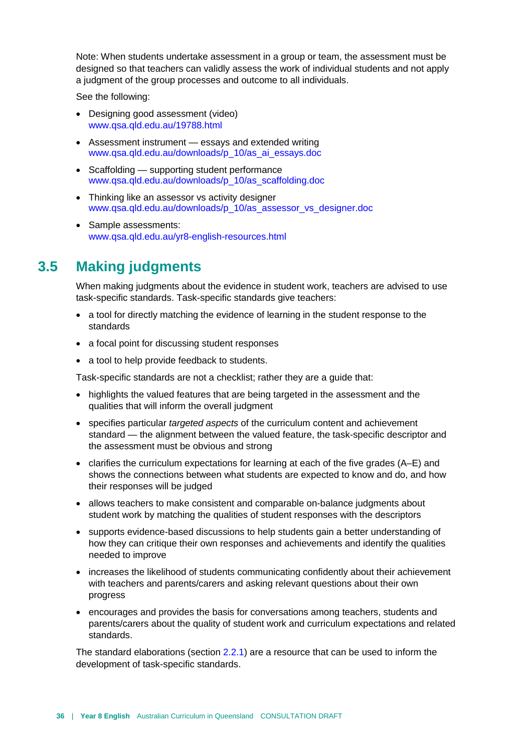Note: When students undertake assessment in a group or team, the assessment must be designed so that teachers can validly assess the work of individual students and not apply a judgment of the group processes and outcome to all individuals.

See the following:

- Designing good assessment (video) [www.qsa.qld.edu.au/19788.html](http://www.qsa.qld.edu.au/19788.html)
- Assessment instrument essays and extended writing [www.qsa.qld.edu.au/downloads/p\\_10/as\\_ai\\_essays.doc](http://www.qsa.qld.edu.au/downloads/p_10/as_ai_essays.doc)
- Scaffolding supporting student performance [www.qsa.qld.edu.au/downloads/p\\_10/as\\_scaffolding.doc](http://www.qsa.qld.edu.au/downloads/p_10/as_scaffolding.doc)
- Thinking like an assessor vs activity designer [www.qsa.qld.edu.au/downloads/p\\_10/as\\_assessor\\_vs\\_designer.doc](http://www.qsa.qld.edu.au/downloads/p_10/as_assessor_vs_designer.doc)
- <span id="page-39-0"></span>• Sample assessments: [www.qsa.qld.edu.au/yr8-english-resources.html](http://www.qsa.qld.edu.au/yr8-english-resources.html)

## **3.5 Making judgments**

When making judgments about the evidence in student work, teachers are advised to use task-specific standards. Task-specific standards give teachers:

- a tool for directly matching the evidence of learning in the student response to the standards
- a focal point for discussing student responses
- a tool to help provide feedback to students.

Task-specific standards are not a checklist; rather they are a guide that:

- highlights the valued features that are being targeted in the assessment and the qualities that will inform the overall judgment
- specifies particular *targeted aspects* of the curriculum content and achievement standard — the alignment between the valued feature, the task-specific descriptor and the assessment must be obvious and strong
- clarifies the curriculum expectations for learning at each of the five grades (A–E) and shows the connections between what students are expected to know and do, and how their responses will be judged
- allows teachers to make consistent and comparable on-balance judgments about student work by matching the qualities of student responses with the descriptors
- supports evidence-based discussions to help students gain a better understanding of how they can critique their own responses and achievements and identify the qualities needed to improve
- increases the likelihood of students communicating confidently about their achievement with teachers and parents/carers and asking relevant questions about their own progress
- encourages and provides the basis for conversations among teachers, students and parents/carers about the quality of student work and curriculum expectations and related standards.

The standard elaborations (sectio[n 2.2.1\)](#page-20-0) are a resource that can be used to inform the development of task-specific standards.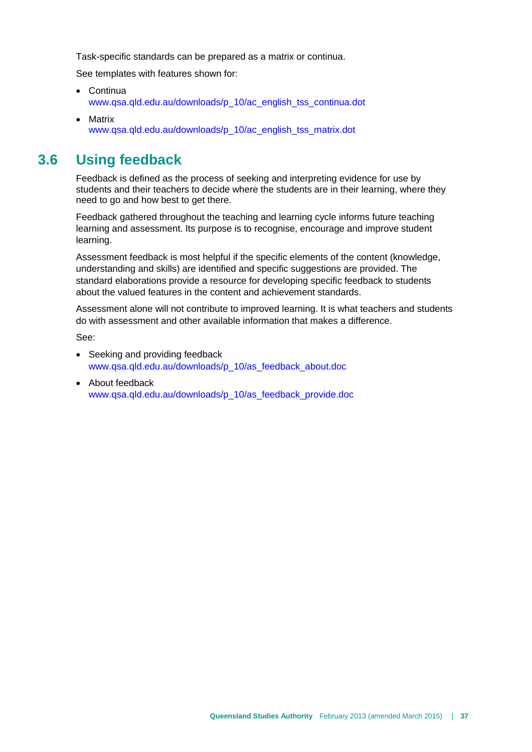Task-specific standards can be prepared as a matrix or continua.

See templates with features shown for:

- Continua [www.qsa.qld.edu.au/downloads/p\\_10/ac\\_english\\_tss\\_continua.dot](http://www.qsa.qld.edu.au/downloads/p_10/ac_english_tss_continua.dot)
- <span id="page-40-0"></span>• Matrix [www.qsa.qld.edu.au/downloads/p\\_10/ac\\_english\\_tss\\_matrix.dot](http://www.qsa.qld.edu.au/downloads/p_10/ac_english_tss_matrix.dot)

## **3.6 Using feedback**

Feedback is defined as the process of seeking and interpreting evidence for use by students and their teachers to decide where the students are in their learning, where they need to go and how best to get there.

Feedback gathered throughout the teaching and learning cycle informs future teaching learning and assessment. Its purpose is to recognise, encourage and improve student learning.

Assessment feedback is most helpful if the specific elements of the content (knowledge, understanding and skills) are identified and specific suggestions are provided. The standard elaborations provide a resource for developing specific feedback to students about the valued features in the content and achievement standards.

Assessment alone will not contribute to improved learning. It is what teachers and students do with assessment and other available information that makes a difference.

See:

- Seeking and providing feedback [www.qsa.qld.edu.au/downloads/p\\_10/as\\_feedback\\_about.doc](http://www.qsa.qld.edu.au/downloads/p_10/as_feedback_about.doc)
- About feedback [www.qsa.qld.edu.au/downloads/p\\_10/as\\_feedback\\_provide.doc](http://www.qsa.qld.edu.au/downloads/p_10/as_feedback_provide.doc)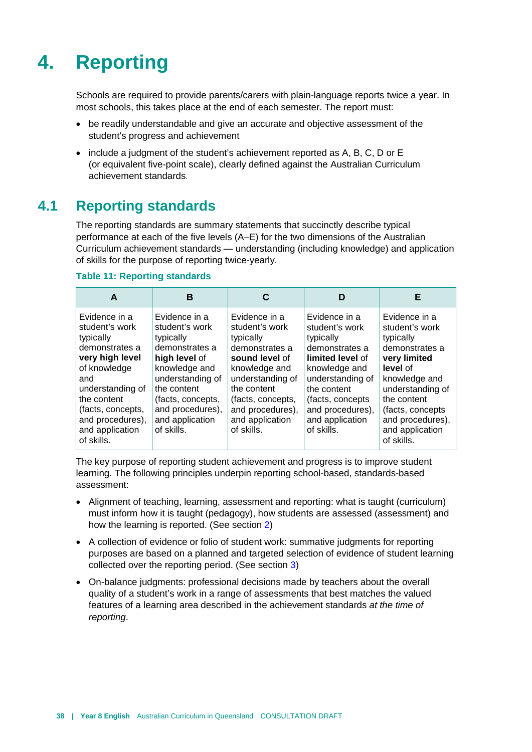# <span id="page-41-0"></span>**4. Reporting**

Schools are required to provide parents/carers with plain-language reports twice a year. In most schools, this takes place at the end of each semester. The report must:

- be readily understandable and give an accurate and objective assessment of the student's progress and achievement
- <span id="page-41-1"></span>• include a judgment of the student's achievement reported as A, B, C, D or E (or equivalent five-point scale), clearly defined against the Australian Curriculum achievement standards.

## **4.1 Reporting standards**

The reporting standards are summary statements that succinctly describe typical performance at each of the five levels (A–E) for the two dimensions of the Australian Curriculum achievement standards — understanding (including knowledge) and application of skills for the purpose of reporting twice-yearly.

| A                                                                                                                                                                                                                     | в                                                                                                                                                                                                             |                                                                                                                                                                                                                | D                                                                                                                                                                                                               | Е                                                                                                                                                                                                                        |
|-----------------------------------------------------------------------------------------------------------------------------------------------------------------------------------------------------------------------|---------------------------------------------------------------------------------------------------------------------------------------------------------------------------------------------------------------|----------------------------------------------------------------------------------------------------------------------------------------------------------------------------------------------------------------|-----------------------------------------------------------------------------------------------------------------------------------------------------------------------------------------------------------------|--------------------------------------------------------------------------------------------------------------------------------------------------------------------------------------------------------------------------|
| Evidence in a<br>student's work<br>typically<br>demonstrates a<br>very high level<br>of knowledge<br>and<br>understanding of<br>the content<br>(facts, concepts,<br>and procedures),<br>and application<br>of skills. | Evidence in a<br>student's work<br>typically<br>demonstrates a<br>high level of<br>knowledge and<br>understanding of<br>the content<br>(facts, concepts,<br>and procedures),<br>and application<br>of skills. | Evidence in a<br>student's work<br>typically<br>demonstrates a<br>sound level of<br>knowledge and<br>understanding of<br>the content<br>(facts, concepts,<br>and procedures),<br>and application<br>of skills. | Evidence in a<br>student's work<br>typically<br>demonstrates a<br>limited level of<br>knowledge and<br>understanding of<br>the content<br>(facts, concepts<br>and procedures),<br>and application<br>of skills. | Evidence in a<br>student's work<br>typically<br>demonstrates a<br>very limited<br>level of<br>knowledge and<br>understanding of<br>the content<br>(facts, concepts)<br>and procedures),<br>and application<br>of skills. |

#### **Table 11: Reporting standards**

The key purpose of reporting student achievement and progress is to improve student learning. The following principles underpin reporting school-based, standards-based assessment:

- Alignment of teaching, learning, assessment and reporting: what is taught (curriculum) must inform how it is taught (pedagogy), how students are assessed (assessment) and how the learning is reported. (See section [2\)](#page-7-0)
- A collection of evidence or folio of student work: summative judgments for reporting purposes are based on a planned and targeted selection of evidence of student learning collected over the reporting period. (See section [3\)](#page-31-0)
- On-balance judgments: professional decisions made by teachers about the overall quality of a student's work in a range of assessments that best matches the valued features of a learning area described in the achievement standards *at the time of reporting*.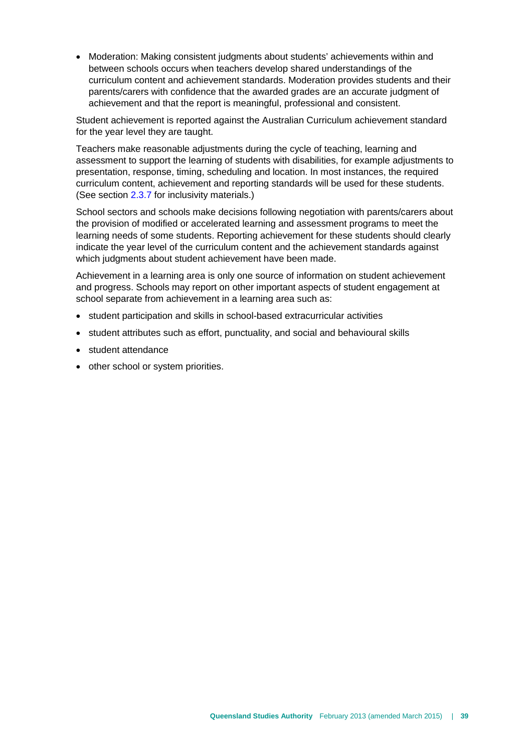• Moderation: Making consistent judgments about students' achievements within and between schools occurs when teachers develop shared understandings of the curriculum content and achievement standards. Moderation provides students and their parents/carers with confidence that the awarded grades are an accurate judgment of achievement and that the report is meaningful, professional and consistent.

Student achievement is reported against the Australian Curriculum achievement standard for the year level they are taught.

Teachers make reasonable adjustments during the cycle of teaching, learning and assessment to support the learning of students with disabilities, for example adjustments to presentation, response, timing, scheduling and location. In most instances, the required curriculum content, achievement and reporting standards will be used for these students. (See section [2.3.7](#page-30-0) for inclusivity materials.)

School sectors and schools make decisions following negotiation with parents/carers about the provision of modified or accelerated learning and assessment programs to meet the learning needs of some students. Reporting achievement for these students should clearly indicate the year level of the curriculum content and the achievement standards against which judgments about student achievement have been made.

Achievement in a learning area is only one source of information on student achievement and progress. Schools may report on other important aspects of student engagement at school separate from achievement in a learning area such as:

- student participation and skills in school-based extracurricular activities
- student attributes such as effort, punctuality, and social and behavioural skills
- student attendance
- other school or system priorities.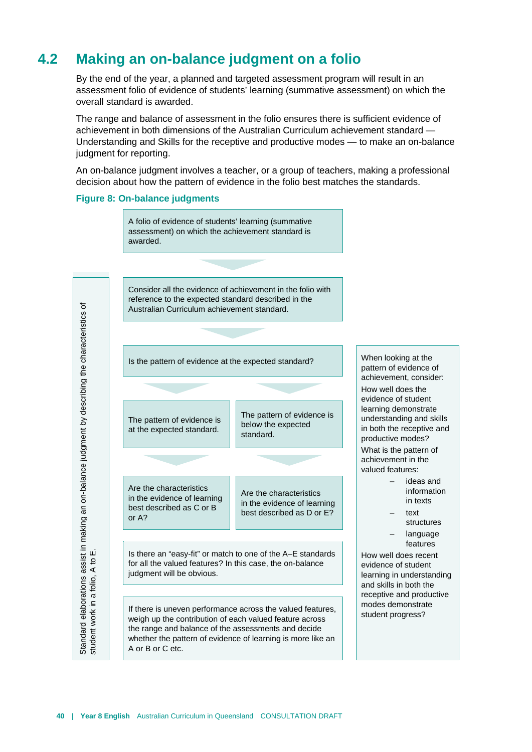## **4.2 Making an on-balance judgment on a folio**

<span id="page-43-0"></span>By the end of the year, a planned and targeted assessment program will result in an assessment folio of evidence of students' learning (summative assessment) on which the overall standard is awarded.

The range and balance of assessment in the folio ensures there is sufficient evidence of achievement in both dimensions of the Australian Curriculum achievement standard — Understanding and Skills for the receptive and productive modes — to make an on-balance judgment for reporting.

An on-balance judgment involves a teacher, or a group of teachers, making a professional decision about how the pattern of evidence in the folio best matches the standards.

#### **Figure 8: On-balance judgments**



A or B or C etc.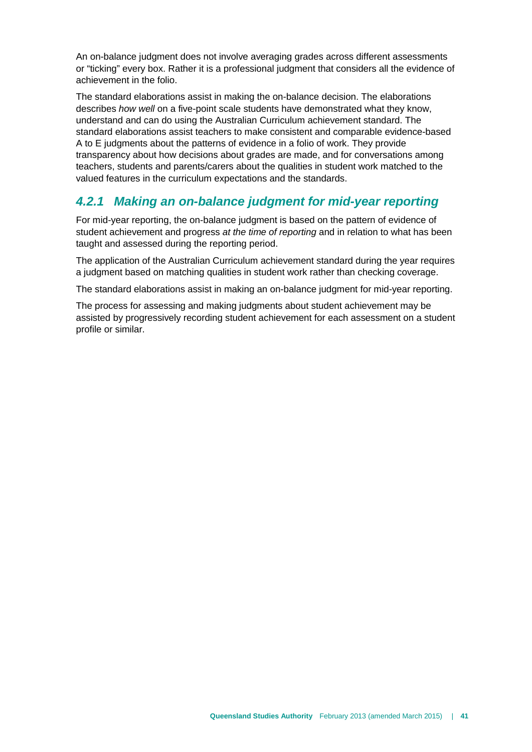An on-balance judgment does not involve averaging grades across different assessments or "ticking" every box. Rather it is a professional judgment that considers all the evidence of achievement in the folio.

The standard elaborations assist in making the on-balance decision. The elaborations describes *how well* on a five-point scale students have demonstrated what they know, understand and can do using the Australian Curriculum achievement standard. The standard elaborations assist teachers to make consistent and comparable evidence-based A to E judgments about the patterns of evidence in a folio of work. They provide transparency about how decisions about grades are made, and for conversations among teachers, students and parents/carers about the qualities in student work matched to the valued features in the curriculum expectations and the standards.

## <span id="page-44-0"></span>*4.2.1 Making an on-balance judgment for mid-year reporting*

For mid-year reporting, the on-balance judgment is based on the pattern of evidence of student achievement and progress *at the time of reporting* and in relation to what has been taught and assessed during the reporting period.

The application of the Australian Curriculum achievement standard during the year requires a judgment based on matching qualities in student work rather than checking coverage.

The standard elaborations assist in making an on-balance judgment for mid-year reporting.

The process for assessing and making judgments about student achievement may be assisted by progressively recording student achievement for each assessment on a student profile or similar.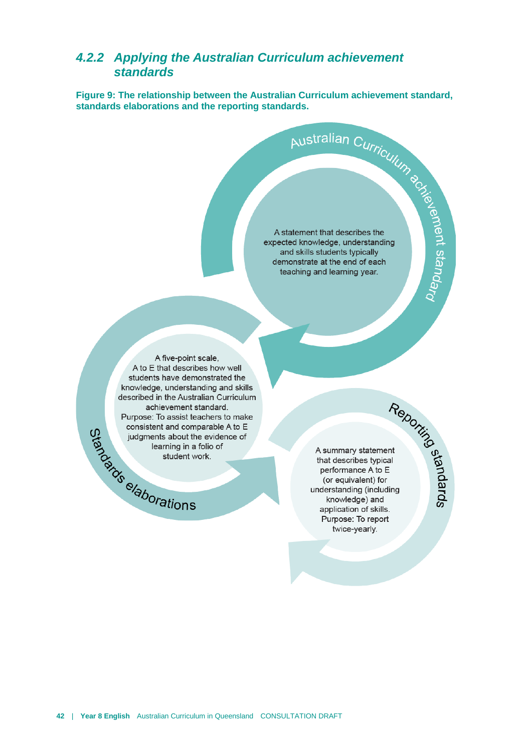# <span id="page-45-0"></span>**4.2.2 Applying the Australian Curriculum achievement**<br> **Eigure 9:** The relationship between the Australian Curriculum achievement standard,<br>
standards elaborations and the reporting standards.<br>
Australian Curriculum<br>
A st *standards*

**Figure 9: The relationship between the Australian Curriculum achievement standard, standards elaborations and the reporting standards.**

A statement that describes the expected knowledge, understanding and skills students typically demonstrate at the end of each teaching and learning year.

A five-point scale, A to E that describes how well students have demonstrated the knowledge, understanding and skills described in the Australian Curriculum achievement standard. Purpose: To assist teachers to make Purpose: To assist teaming in a formulation of the problem of the student work of the student work of the student work of the student work of the student work of the student work of the student work of the student work of consistent and comparable A to E judgments about the evidence of learning in a folio of student work.

A summary statement that describes typical performance A to E (or equivalent) for understanding (including knowledge) and application of skills. Purpose: To report twice-yearly.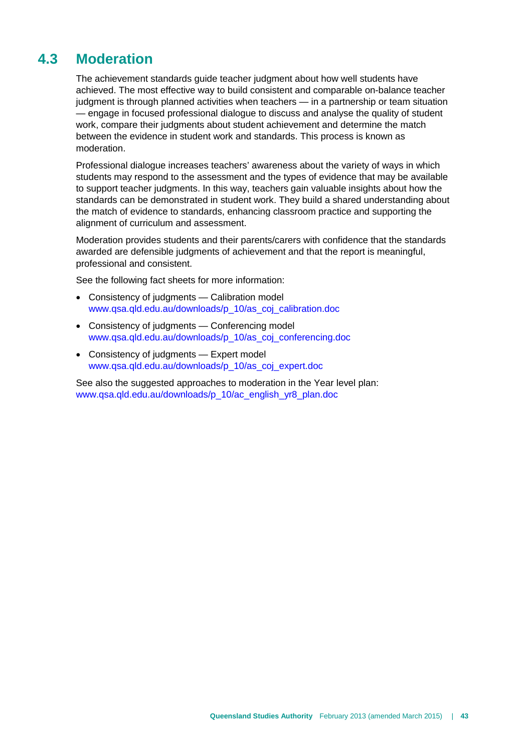## **4.3 Moderation**

<span id="page-46-0"></span>The achievement standards guide teacher judgment about how well students have achieved. The most effective way to build consistent and comparable on-balance teacher judgment is through planned activities when teachers — in a partnership or team situation — engage in focused professional dialogue to discuss and analyse the quality of student work, compare their judgments about student achievement and determine the match between the evidence in student work and standards. This process is known as moderation.

Professional dialogue increases teachers' awareness about the variety of ways in which students may respond to the assessment and the types of evidence that may be available to support teacher judgments. In this way, teachers gain valuable insights about how the standards can be demonstrated in student work. They build a shared understanding about the match of evidence to standards, enhancing classroom practice and supporting the alignment of curriculum and assessment.

Moderation provides students and their parents/carers with confidence that the standards awarded are defensible judgments of achievement and that the report is meaningful, professional and consistent.

See the following fact sheets for more information:

- Consistency of judgments Calibration model [www.qsa.qld.edu.au/downloads/p\\_10/as\\_coj\\_calibration.doc](http://www.qsa.qld.edu.au/downloads/p_10/as_coj_calibration.doc)
- Consistency of judgments Conferencing model [www.qsa.qld.edu.au/downloads/p\\_10/as\\_coj\\_conferencing.doc](http://www.qsa.qld.edu.au/downloads/p_10/as_coj_conferencing.doc)
- Consistency of judgments Expert model [www.qsa.qld.edu.au/downloads/p\\_10/as\\_coj\\_expert.doc](http://www.qsa.qld.edu.au/downloads/p_10/as_coj_expert.doc)

See also the suggested approaches to moderation in the Year level plan: [www.qsa.qld.edu.au/downloads/p\\_10/ac\\_english\\_yr8\\_plan.doc](http://www.qsa.qld.edu.au/downloads/p_10/ac_english_yr8_plan.doc)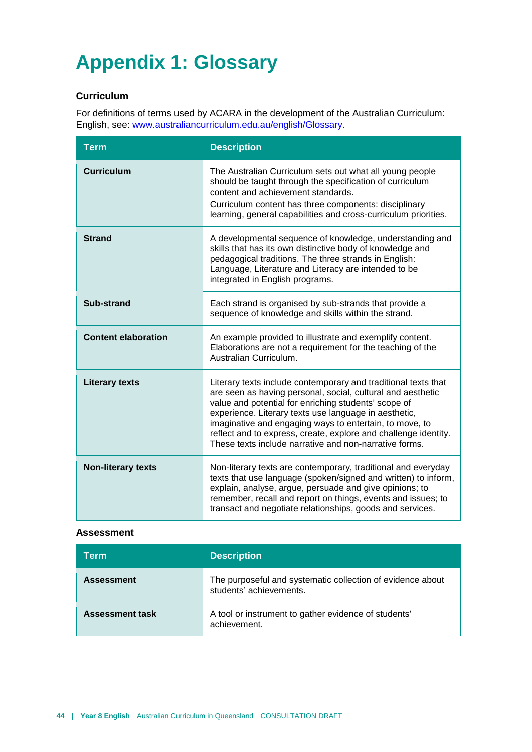# <span id="page-47-0"></span>**Appendix 1: Glossary**

#### **Curriculum**

For definitions of terms used by ACARA in the development of the Australian Curriculum: English, see: [www.australiancurriculum.edu.au/english/Glossary.](http://www.australiancurriculum.edu.au/english/Glossary)

| <b>Term</b>                | <b>Description</b>                                                                                                                                                                                                                                                                                                                                                                                                                     |
|----------------------------|----------------------------------------------------------------------------------------------------------------------------------------------------------------------------------------------------------------------------------------------------------------------------------------------------------------------------------------------------------------------------------------------------------------------------------------|
| <b>Curriculum</b>          | The Australian Curriculum sets out what all young people<br>should be taught through the specification of curriculum<br>content and achievement standards.<br>Curriculum content has three components: disciplinary<br>learning, general capabilities and cross-curriculum priorities.                                                                                                                                                 |
| <b>Strand</b>              | A developmental sequence of knowledge, understanding and<br>skills that has its own distinctive body of knowledge and<br>pedagogical traditions. The three strands in English:<br>Language, Literature and Literacy are intended to be<br>integrated in English programs.                                                                                                                                                              |
| Sub-strand                 | Each strand is organised by sub-strands that provide a<br>sequence of knowledge and skills within the strand.                                                                                                                                                                                                                                                                                                                          |
| <b>Content elaboration</b> | An example provided to illustrate and exemplify content.<br>Elaborations are not a requirement for the teaching of the<br>Australian Curriculum.                                                                                                                                                                                                                                                                                       |
| <b>Literary texts</b>      | Literary texts include contemporary and traditional texts that<br>are seen as having personal, social, cultural and aesthetic<br>value and potential for enriching students' scope of<br>experience. Literary texts use language in aesthetic,<br>imaginative and engaging ways to entertain, to move, to<br>reflect and to express, create, explore and challenge identity.<br>These texts include narrative and non-narrative forms. |
| <b>Non-literary texts</b>  | Non-literary texts are contemporary, traditional and everyday<br>texts that use language (spoken/signed and written) to inform,<br>explain, analyse, argue, persuade and give opinions; to<br>remember, recall and report on things, events and issues; to<br>transact and negotiate relationships, goods and services.                                                                                                                |

#### **Assessment**

| Term                   | <b>Description</b>                                                                    |
|------------------------|---------------------------------------------------------------------------------------|
| <b>Assessment</b>      | The purposeful and systematic collection of evidence about<br>students' achievements. |
| <b>Assessment task</b> | A tool or instrument to gather evidence of students'<br>achievement.                  |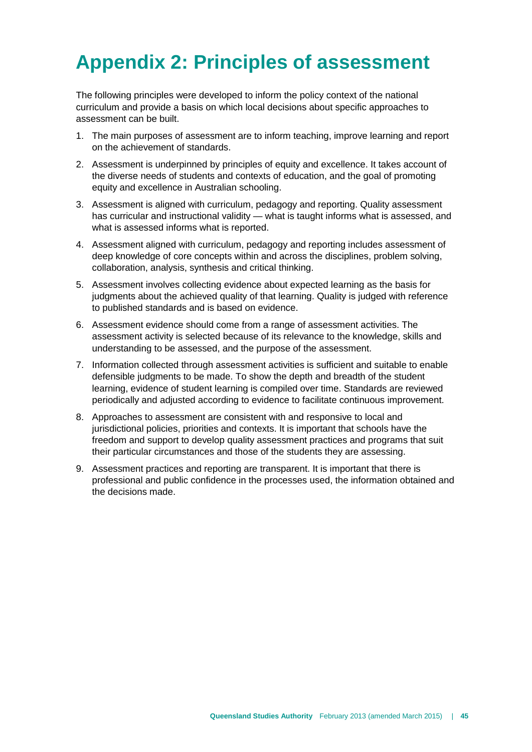# <span id="page-48-0"></span>**Appendix 2: Principles of assessment**

The following principles were developed to inform the policy context of the national curriculum and provide a basis on which local decisions about specific approaches to assessment can be built.

- 1. The main purposes of assessment are to inform teaching, improve learning and report on the achievement of standards.
- 2. Assessment is underpinned by principles of equity and excellence. It takes account of the diverse needs of students and contexts of education, and the goal of promoting equity and excellence in Australian schooling.
- 3. Assessment is aligned with curriculum, pedagogy and reporting. Quality assessment has curricular and instructional validity — what is taught informs what is assessed, and what is assessed informs what is reported.
- 4. Assessment aligned with curriculum, pedagogy and reporting includes assessment of deep knowledge of core concepts within and across the disciplines, problem solving, collaboration, analysis, synthesis and critical thinking.
- 5. Assessment involves collecting evidence about expected learning as the basis for judgments about the achieved quality of that learning. Quality is judged with reference to published standards and is based on evidence.
- 6. Assessment evidence should come from a range of assessment activities. The assessment activity is selected because of its relevance to the knowledge, skills and understanding to be assessed, and the purpose of the assessment.
- 7. Information collected through assessment activities is sufficient and suitable to enable defensible judgments to be made. To show the depth and breadth of the student learning, evidence of student learning is compiled over time. Standards are reviewed periodically and adjusted according to evidence to facilitate continuous improvement.
- 8. Approaches to assessment are consistent with and responsive to local and jurisdictional policies, priorities and contexts. It is important that schools have the freedom and support to develop quality assessment practices and programs that suit their particular circumstances and those of the students they are assessing.
- 9. Assessment practices and reporting are transparent. It is important that there is professional and public confidence in the processes used, the information obtained and the decisions made.